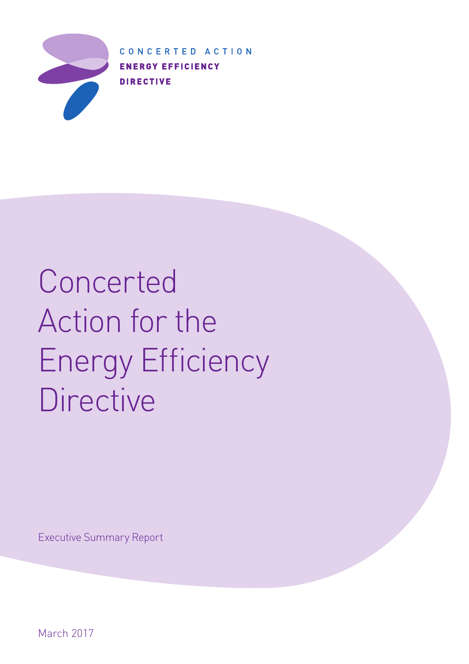

CONCERTED ACTION **ENERGY EFFICIENCY DIRECTIVE** 

# Concerted Action for the Energy Efficiency **Directive**

Executive Summary Report

March 2017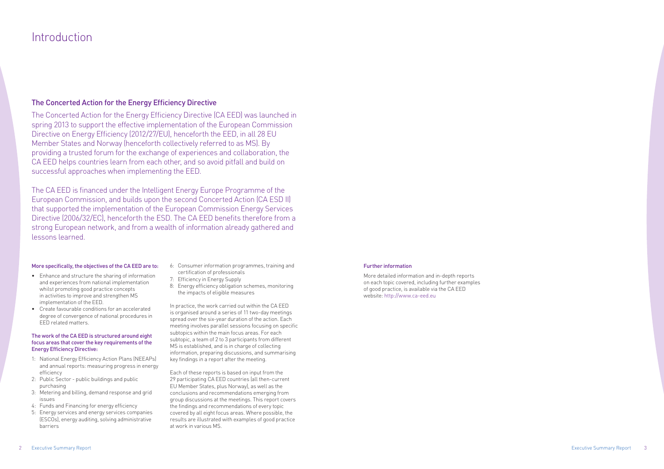### Introduction

#### The Concerted Action for the Energy Efficiency Directive

The Concerted Action for the Energy Efficiency Directive (CA EED) was launched in spring 2013 to support the effective implementation of the European Commission Directive on Energy Efficiency (2012/27/EU), henceforth the EED, in all 28 EU Member States and Norway (henceforth collectively referred to as MS). By providing a trusted forum for the exchange of experiences and collaboration, the CA EED helps countries learn from each other, and so avoid pitfall and build on successful approaches when implementing the EED.

The CA EED is financed under the Intelligent Energy Europe Programme of the European Commission, and builds upon the second Concerted Action (CA ESD II) that supported the implementation of the European Commission Energy Services Directive (2006/32/EC), henceforth the ESD. The CA EED benefits therefore from a strong European network, and from a wealth of information already gathered and lessons learned.

#### Further information

More detailed information and in-depth reports on each topic covered, including further examples of good practice, is available via the CA EED website: http://www.ca-eed.eu

#### More specifically, the objectives of the CA EED are to:

- Enhance and structure the sharing of information and experiences from national implementation whilst promoting good practice concepts in activities to improve and strengthen MS implementation of the EED.
- Create favourable conditions for an accelerated degree of convergence of national procedures in EED related matters.

#### The work of the CA EED is structured around eight focus areas that cover the key requirements of the Energy Efficiency Directive:

- 1: National Energy Efficiency Action Plans (NEEAPs) and annual reports: measuring progress in energy efficiency
- 2: Public Sector public buildings and public purchasing
- 3: Metering and billing, demand response and grid issues
- 4: Funds and Financing for energy efficiency
- 5: Energy services and energy services companies (ESCOs), energy auditing, solving administrative barriers
- 6: Consumer information programmes, training and certification of professionals
- 7: Efficiency in Energy Supply
- 8: Energy efficiency obligation schemes, monitoring the impacts of eligible measures

In practice, the work carried out within the CA EED is organised around a series of 11 two-day meetings spread over the six-year duration of the action. Each meeting involves parallel sessions focusing on specific subtopics within the main focus areas. For each subtopic, a team of 2 to 3 participants from different MS is established, and is in charge of collecting information, preparing discussions, and summarising key findings in a report after the meeting.

Each of these reports is based on input from the 29 participating CA EED countries (all then-current EU Member States, plus Norway), as well as the conclusions and recommendations emerging from group discussions at the meetings. This report covers the findings and recommendations of every topic covered by all eight focus areas. Where possible, the results are illustrated with examples of good practice at work in various MS.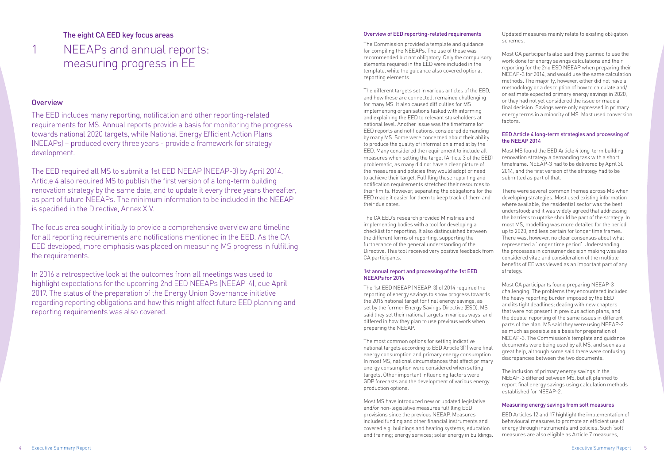The EED includes many reporting, notification and other reporting-related requirements for MS. Annual reports provide a basis for monitoring the progress towards national 2020 targets, while National Energy Efficient Action Plans (NEEAPs) – produced every three years - provide a framework for strategy development.

The EED required all MS to submit a 1st EED NEEAP (NEEAP-3) by April 2014. Article 4 also required MS to publish the first version of a long-term building renovation strategy by the same date, and to update it every three years thereafter, as part of future NEEAPs. The minimum information to be included in the NEEAP is specified in the Directive, Annex XIV.

The focus area sought initially to provide a comprehensive overview and timeline for all reporting requirements and notifications mentioned in the EED. As the CA EED developed, more emphasis was placed on measuring MS progress in fulfilling the requirements.

In 2016 a retrospective look at the outcomes from all meetings was used to highlight expectations for the upcoming 2nd EED NEEAPs (NEEAP-4), due April 2017. The status of the preparation of the Energy Union Governance initiative regarding reporting obligations and how this might affect future EED planning and reporting requirements was also covered.

### The eight CA EED key focus areas NEEAPs and annual reports: measuring progress in EE

#### **Overview**

1

#### Overview of EED reporting-related requirements

The Commission provided a template and guidance for compiling the NEEAPs. The use of these was recommended but not obligatory. Only the compulsory elements required in the EED were included in the template, while the guidance also covered optional reporting elements.

The different targets set in various articles of the EED, and how these are connected, remained challenging for many MS. It also caused difficulties for MS implementing organisations tasked with informing and explaining the EED to relevant stakeholders at national level. Another issue was the timeframe for EED reports and notifications, considered demanding by many MS. Some were concerned about their ability to produce the quality of information aimed at by the EED. Many considered the requirement to include all measures when setting the target (Article 3 of the EED) problematic, as many did not have a clear picture of the measures and policies they would adopt or need to achieve their target. Fulfilling these reporting and notification requirements stretched their resources to their limits. However, separating the obligations for the EED made it easier for them to keep track of them and their due dates.

The CA EED's research provided Ministries and implementing bodies with a tool for developing a checklist for reporting. It also distinguished between the different forms of reporting, supporting the furtherance of the general understanding of the Directive. This tool received very positive feedback from CA participants.

#### 1st annual report and processing of the 1st EED NEEAPs for 2014

The 1st EED NEEAP (NEEAP-3) of 2014 required the reporting of energy savings to show progress towards the 2016 national target for final energy savings, as set by the former Energy Savings Directive (ESD). MS said they set their national targets in various ways, and differed in how they plan to use previous work when preparing the NEEAP.

The most common options for setting indicative national targets according to EED Article 3(1) were final energy consumption and primary energy consumption. In most MS, national circumstances that affect primary energy consumption were considered when setting targets. Other important influencing factors were GDP forecasts and the development of various energy production options.

Most MS have introduced new or updated legislative and/or non-legislative measures fulfilling EED provisions since the previous NEEAP. Measures included funding and other financial instruments and covered e.g. buildings and heating systems; education and training; energy services; solar energy in buildings. Updated measures mainly relate to existing obligation schemes.

Most CA participants also said they planned to use the work done for energy savings calculations and their reporting for the 2nd ESD NEEAP when preparing their NEEAP-3 for 2014, and would use the same calculation methods. The majority, however, either did not have a methodology or a description of how to calculate and/ or estimate expected primary energy savings in 2020, or they had not yet considered the issue or made a final decision. Savings were only expressed in primary energy terms in a minority of MS. Most used conversion factors.

#### EED Article 4 long-term strategies and processing of the NEEAP 2014

Most MS found the EED Article 4 long-term building renovation strategy a demanding task with a short timeframe. NEEAP-3 had to be delivered by April 30 2014, and the first version of the strategy had to be submitted as part of that.

There were several common themes across MS when developing strategies. Most used existing information where available; the residential sector was the best understood; and it was widely agreed that addressing the barriers to uptake should be part of the strategy. In most MS, modelling was more detailed for the period up to 2020, and less certain for longer time frames. There was, however, no clear consensus about what represented a 'longer time period'. Understanding the processes in consumer decision making was also considered vital; and consideration of the multiple benefits of EE was viewed as an important part of any strategy.

Most CA participants found preparing NEEAP-3 challenging. The problems they encountered included the heavy reporting burden imposed by the EED and its tight deadlines; dealing with new chapters that were not present in previous action plans; and the double-reporting of the same issues in different parts of the plan. MS said they were using NEEAP-2 as much as possible as a basis for preparation of NEEAP-3. The Commission's template and guidance documents were being used by all MS, and seen as a great help, although some said there were confusing discrepancies between the two documents.

The inclusion of primary energy savings in the NEEAP-3 differed between MS, but all planned to report final energy savings using calculation methods established for NEEAP-2.

#### Measuring energy savings from soft measures

EED Articles 12 and 17 highlight the implementation of behavioural measures to promote an efficient use of energy through instruments and policies. Such 'soft' measures are also eligible as Article 7 measures,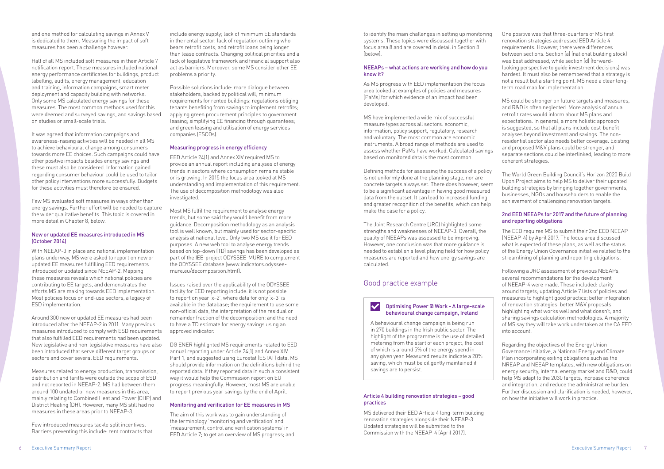and one method for calculating savings in Annex V is dedicated to them. Measuring the impact of soft measures has been a challenge however.

Half of all MS included soft measures in their Article 7 notification report. These measures included national energy performance certificates for buildings, product labelling, audits, energy management, education and training, information campaigns, smart meter deployment and capacity building with networks. Only some MS calculated energy savings for these measures. The most common methods used for this were deemed and surveyed savings, and savings based on studies or small-scale trials.

It was agreed that information campaigns and awareness-raising activities will be needed in all MS to achieve behavioural change among consumers towards more EE choices. Such campaigns could have other positive impacts besides energy savings and these must also be considered. Information gained regarding consumer behaviour could be used to tailor other policy interventions more successfully. Budgets for these activities must therefore be ensured.

Few MS evaluated soft measures in ways other than energy savings. Further effort will be needed to capture the wider qualitative benefits. This topic is covered in more detail in Chapter 8, below.

#### New or updated EE measures introduced in MS (October 2014)

With NEEAP-3 in place and national implementation plans underway, MS were asked to report on new or updated EE measures fulfilling EED requirements introduced or updated since NEEAP-2. Mapping these measures reveals which national policies are contributing to EE targets, and demonstrates the efforts MS are making towards EED implementation. Most policies focus on end-use sectors, a legacy of ESD implementation.

Around 300 new or updated EE measures had been introduced after the NEEAP-2 in 2011. Many previous measures introduced to comply with ESD requirements that also fulfilled EED requirements had been updated. New legislative and non-legislative measures have also been introduced that serve different target groups or sectors and cover several EED requirements.

Measures related to energy production, transmission, distribution and tariffs were outside the scope of ESD and not reported in NEEAP-2. MS had between them around 100 undated or new measures in this area, mainly relating to Combined Heat and Power (CHP) and District Heating (DH). However, many MS still had no measures in these areas prior to NEEAP-3.

Few introduced measures tackle split incentives. Barriers preventing this include: rent contracts that

include energy supply; lack of minimum EE standards in the rental sector; lack of regulation outlining who bears retrofit costs; and retrofit loans being longer than lease contracts. Changing political priorities and a lack of legislative framework and financial support also act as barriers. Moreover, some MS consider other EE problems a priority.

Possible solutions include: more dialogue between stakeholders, backed by political will; minimum requirements for rented buildings; regulations obliging tenants benefiting from savings to implement retrofits; applying green procurement principles to government leasing; simplifying EE financing through guarantees; and green leasing and utilisation of energy services companies (ESCOs).

#### Measuring progress in energy efficiency

EED Article 24(1) and Annex XIV required MS to provide an annual report including analyses of energy trends in sectors where consumption remains stable or is growing. In 2015 the focus area looked at MS understanding and implementation of this requirement. The use of decomposition methodology was also investigated.

Most MS fulfil the requirement to analyse energy trends, but some said they would benefit from more guidance. Decomposition methodology as an analysis tool is well known, but mainly used for sector-specific analysis at national level. Only two MS use it for EED purposes. A new web tool to analyse energy trends based on top-down (TD) savings has been developed as part of the IEE-project ODYSSEE-MURE to complement the ODYSSEE database (www.indicators.odysseemure.eu/decomposition.html).

Issues raised over the applicability of the ODYSSEE facility for EED reporting include: it is not possible to report on year 'x–2', where data for only 'x–3' is available in the database; the requirement to use some non-official data; the interpretation of the residual or remainder fraction of the decomposition; and the need to have a TD estimate for energy savings using an approved indicator.

#### **Optimising Power @ Work - A large-scale** behavioural change campaign, Ireland

DG ENER highlighted MS requirements related to EED annual reporting under Article 24(1) and Annex XIV Part 1, and suggested using Eurostat (ESTAT) data. MS should provide information on the definitions behind the reported data. If they reported data in such a consistent way it would help the Commission report on EU progress meaningfully. However, most MS are unable to report previous year savings by the end of April.

#### Monitoring and verification for EE measures in MS

The aim of this work was to gain understanding of the terminology 'monitoring and verification' and 'measurement, control and verification systems' in EED Article 7; to get an overview of MS progress; and to identify the main challenges in setting up monitoring systems. These topics were discussed together with focus area 8 and are covered in detail in Section 8 (below).

#### NEEAPs – what actions are working and how do you know it?

As MS progress with EED implementation the focus area looked at examples of policies and measures (PaMs) for which evidence of an impact had been developed.

MS have implemented a wide mix of successful measure types across all sectors: economic, information, policy support, regulatory, research and voluntary. The most common are economic instruments. A broad range of methods are used to assess whether PaMs have worked. Calculated savings based on monitored data is the most common.

Defining methods for assessing the success of a policy is not uniformly done at the planning stage, nor are concrete targets always set. There does however, seem to be a significant advantage in having good measured data from the outset. It can lead to increased funding and greater recognition of the benefits, which can help make the case for a policy.

The Joint Research Centre (JRC) highlighted some strengths and weaknesses of NEEAP-3. Overall, the quality of NEEAPs was assessed to be improving. However, one conclusion was that more guidance is needed to establish a level playing field for how policy measures are reported and how energy savings are calculated.

#### Article 4 building renovation strategies – good practices

MS delivered their EED Article 4 long-term building renovation strategies alongside their NEEAP-3. Updated strategies will be submitted to the Commission with the NEEAP-4 (April 2017).

One positive was that three-quarters of MS first renovation strategies addressed EED Article 4 requirements. However, there were differences between sections. Section (a) (national building stock) was best addressed, while section (d) (forwardlooking perspective to guide investment decisions) was hardest. It must also be remembered that a strategy is not a result but a starting point. MS need a clear longterm road map for implementation.

MS could be stronger on future targets and measures, and R&D is often neglected. More analysis of annual retrofit rates would inform about MS plans and expectations. In general, a more holistic approach is suggested, so that all plans include cost-benefit analyses beyond investment and savings. The nonresidential sector also needs better coverage. Existing and proposed M&V plans could be stronger, and separate sections could be interlinked, leading to more coherent strategies.

The World Green Building Council's Horizon 2020 Build Upon Project aims to help MS to deliver their updated building strategies by bringing together governments, businesses, NGOs and householders to enable the achievement of challenging renovation targets.

#### 2nd EED NEEAPs for 2017 and the future of planning and reporting obligations

The EED requires MS to submit their 2nd EED NEEAP (NEEAP-4) by April 2017. The focus area discussed what is expected of these plans, as well as the status of the Energy Union Governance initiative related to the streamlining of planning and reporting obligations.

Following a JRC assessment of previous NEEAPs, several recommendations for the development of NEEAP-4 were made. These included: clarity around targets; updating Article 7 lists of policies and measures to highlight good practice; better integration of renovation strategies; better M&V proposals; highlighting what works well and what doesn't; and sharing savings calculation methodologies. A majority of MS say they will take work undertaken at the CA EED into account.

Regarding the objectives of the Energy Union Governance initiative, a National Energy and Climate Plan incorporating exiting obligations such as the NREAP and NEEAP templates, with new obligations on energy security, internal energy market and R&D, could help MS adapt to the 2030 targets, increase coherence and integration, and reduce the administrative burden. Further discussion and clarification is needed, however, on how the initiative will work in practice.

#### Good practice example

A behavioural change campaign is being run in 270 buildings in the Irish public sector. The highlight of the programme is the use of detailed metering from the start of each project, the cost of which is around 5% of the energy spend in any given year. Measured results indicate a 20% saving, which must be diligently maintained if savings are to persist.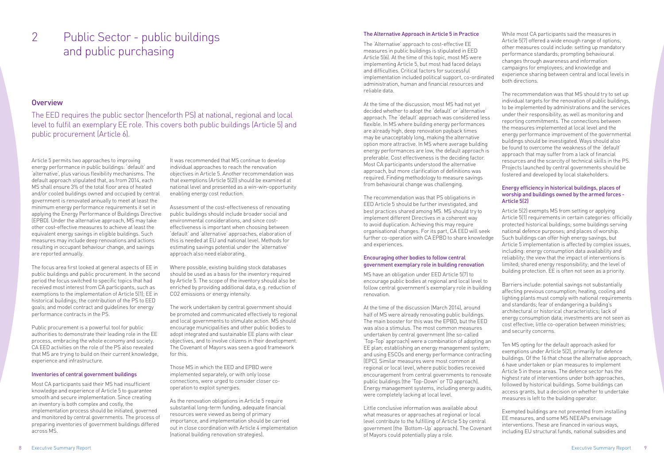### Public Sector - public buildings and public purchasing 2

#### **Overview**

The EED requires the public sector (henceforth PS) at national, regional and local level to fulfil an exemplary EE role. This covers both public buildings (Article 5) and public procurement (Article 6).

#### The Alternative Approach in Article 5 in Practice

The 'Alternative' approach to cost-effective EE measures in public buildings is stipulated in EED Article 5(6). At the time of this topic, most MS were implementing Article 5, but most had faced delays and difficulties. Critical factors for successful implementation included political support, co-ordinated administration, human and financial resources and reliable data.

At the time of the discussion, most MS had not yet decided whether to adopt the 'default' or 'alternative' approach. The 'default' approach was considered less flexible. In MS where building energy performances are already high, deep renovation payback times may be unacceptably long, making the alternative option more attractive. In MS where average building energy performances are low, the default approach is preferable. Cost effectiveness is the deciding factor. Most CA participants understood the alternative approach, but more clarification of definitions was required. Finding methodology to measure savings from behavioural change was challenging.

The recommendation was that PS obligations in EED Article 5 should be further investigated, and best practices shared among MS. MS should try to implement different Directives in a coherent way to avoid duplication. Achieving this may require organisational changes. For its part, CA EED will seek further co-operation with CA EPBD to share knowledge and experiences.

#### Encouraging other bodies to follow central government exemplary role in building renovation

MS have an obligation under EED Article 5(7) to encourage public bodies at regional and local level to follow central government's exemplary role in building renovation.

At the time of the discussion (March 2014), around half of MS were already renovating public buildings. The main booster for this was the EPBD, but the EED was also a stimulus. The most common measures undertaken by central government (the so-called 'Top-Top' approach) were a combination of adopting an EE plan; establishing an energy management system; and using ESCOs and energy performance contracting (EPC). Similar measures were most common at regional or local level, where public bodies received encouragement from central governments to renovate public buildings (the 'Top-Down' or TD approach). Energy management systems, including energy audits, were completely lacking at local level.

Little conclusive information was available about what measures or approaches at regional or local level contribute to the fulfilling of Article 5 by central government (the 'Bottom-Up' approach). The Covenant of Mayors could potentially play a role.

While most CA participants said the measures in Article 5(7) offered a wide enough range of options, other measures could include: setting up mandatory performance standards; prompting behavioural changes through awareness and information campaigns for employees; and knowledge and experience sharing between central and local levels in both directions.

The recommendation was that MS should try to set up individual targets for the renovation of public buildings, to be implemented by administrations and the services under their responsibility, as well as monitoring and reporting commitments. The connections between the measures implemented at local level and the energy performance improvement of the governmental buildings should be investigated. Ways should also be found to overcome the weakness of the 'default' approach that may suffer from a lack of financial resources and the scarcity of technical skills in the PS. Projects launched by central governments should be fostered and developed by local stakeholders.

#### Energy efficiency in historical buildings, places of worship and buildings owned by the armed forces - Article 5(2)

Article 5(2) exempts MS from setting or applying Article 5(1) requirements in certain categories: officially protected historical buildings; some buildings serving national defence purposes; and places of worship. Such buildings can offer high energy savings, but Article 5 implementation is affected by complex issues, including: energy consumption data availability and reliability; the view that the impact of interventions is limited; shared energy responsibility; and the level of building protection. EE is often not seen as a priority.

Barriers include: potential savings not substantially affecting previous consumption; heating, cooling and lighting plants must comply with national requirements and standards; fear of endangering a building's architectural or historical characteristics; lack of energy consumption data; investments are not seen as cost effective; little co-operation between ministries; and security concerns.

Ten MS opting for the default approach asked for exemptions under Article 5(2), primarily for defence buildings. Of the 16 that chose the alternative approach, 6 have undertaken or plan measures to implement Article 5 in these areas. The defence sector has the highest rate of interventions under both approaches, followed by historical buildings. Some buildings can access grants, but a decision on whether to undertake measures is left to the building operator.

Exempted buildings are not prevented from installing EE measures, and some MS NEEAPs envisage interventions. These are financed in various ways, including EU structural funds, national subsidies and

Article 5 permits two approaches to improving energy performance in public buildings: 'default' and 'alternative', plus various flexibility mechanisms. The default approach stipulated that, as from 2014, each MS shall ensure 3% of the total floor area of heated and/or cooled buildings owned and occupied by central government is renovated annually to meet at least the minimum energy performance requirements it set in applying the Energy Performance of Buildings Directive (EPBD). Under the alternative approach, MS may take other cost-effective measures to achieve at least the equivalent energy savings in eligible buildings. Such measures may include deep renovations and actions resulting in occupant behaviour change, and savings are reported annually.

The focus area first looked at general aspects of EE in public buildings and public procurement. In the second period the focus switched to specific topics that had received most interest from CA participants, such as exemptions to the implementation of Article 5(1); EE in historical buildings; the contribution of the PS to EED goals; and model contract and guidelines for energy performance contracts in the PS.

Public procurement is a powerful tool for public authorities to demonstrate their leading role in the EE process, embracing the whole economy and society. CA EED activities on the role of the PS also revealed that MS are trying to build on their current knowledge, experience and infrastructure.

#### Inventories of central government buildings

Most CA participants said their MS had insufficient knowledge and experience of Article 5 to guarantee smooth and secure implementation. Since creating an inventory is both complex and costly, the implementation process should be initiated, governed and monitored by central governments. The process of preparing inventories of government buildings differed across MS.

It was recommended that MS continue to develop individual approaches to reach the renovation objectives in Article 5. Another recommendation was that exemptions (Article 5(2)) should be examined at national level and presented as a win-win-opportunity enabling energy cost reduction.

Assessment of the cost-effectiveness of renovating public buildings should include broader social and environmental considerations, and since costeffectiveness is important when choosing between 'default' and 'alternative' approaches, elaboration of this is needed at EU and national level. Methods for estimating savings potential under the 'alternative' approach also need elaborating.

Where possible, existing building stock databases should be used as a basis for the inventory required by Article 5. The scope of the inventory should also be enriched by providing additional data, e.g. reduction of CO2 emissions or energy intensity.

The work undertaken by central government should be promoted and communicated effectively to regional and local governments to stimulate action. MS should encourage municipalities and other public bodies to adopt integrated and sustainable EE plans with clear objectives, and to involve citizens in their development. The Covenant of Mayors was seen a good framework for this.

Those MS in which the EED and EPBD were implemented separately, or with only loose connections, were urged to consider closer cooperation to exploit synergies.

As the renovation obligations in Article 5 require substantial long-term funding, adequate financial resources were viewed as being of primary importance, and implementation should be carried out in close coordination with Article 4 implementation (national building renovation strategies).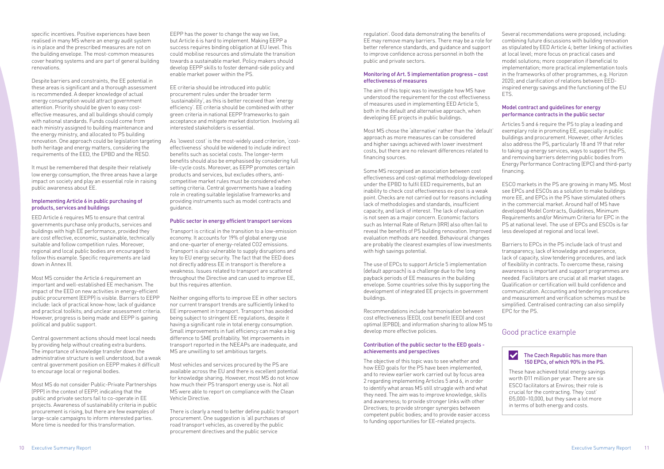specific incentives. Positive experiences have been realised in many MS where an energy audit system is in place and the prescribed measures are not on the building envelope. The most-common measures cover heating systems and are part of general building renovations.

Despite barriers and constraints, the EE potential in these areas is significant and a thorough assessment is recommended. A deeper knowledge of actual energy consumption would attract government attention. Priority should be given to easy costeffective measures, and all buildings should comply with national standards. Funds could come from each ministry assigned to building maintenance and the energy ministry, and allocated to PS building renovation. One approach could be legislation targeting both heritage and energy matters, considering the requirements of the EED, the EPBD and the RESD.

It must be remembered that despite their relatively low energy consumption, the three areas have a large impact on society and play an essential role in raising public awareness about EE.

#### Implementing Article 6 in public purchasing of products, services and buildings

EED Article 6 requires MS to ensure that central governments purchase only products, services and buildings with high EE performance, provided they are cost effective, economic, sustainable, technically suitable and follow competition rules. Moreover, regional and local public bodies are encouraged to follow this example. Specific requirements are laid down in Annex III.

Most MS consider the Article 6 requirement an important and well-established EE mechanism. The impact of the EED on new activities in energy-efficient public procurement (EEPP) is visible. Barriers to EEPP include: lack of practical know-how; lack of guidance and practical toolkits; and unclear assessment criteria. However, progress is being made and EEPP is gaining political and public support.

Central government actions should meet local needs by providing help without creating extra burdens. The importance of knowledge transfer down the administrative structure is well understood, but a weak central government position on EEPP makes it difficult to encourage local or regional bodies.

Most MS do not consider Public-Private Partnerships (PPP) in the context of EEPP, indicating that the public and private sectors fail to co-operate in EE projects. Awareness of sustainability criteria in public procurement is rising, but there are few examples of large-scale campaigns to inform interested parties. More time is needed for this transformation.

EEPP has the power to change the way we live, but Article 6 is hard to implement. Making EEPP a success requires binding obligation at EU level. This could mobilise resources and stimulate the transition towards a sustainable market. Policy makers should develop EEPP skills to foster demand-side policy and enable market power within the PS.

EE criteria should be introduced into public procurement rules under the broader term 'sustainability', as this is better received than 'energy efficiency'. EE criteria should be combined with other green criteria in national EEPP frameworks to gain acceptance and mitigate market distortion. Involving all interested stakeholders is essential.

As 'lowest cost' is the most-widely used criterion, 'costeffectiveness' should be widened to include indirect benefits such as societal costs. The longer-term benefits should also be emphasised by considering full life-cycle costs. Moreover, as EEPP promotes certain products and services, but excludes others, anticompetitive market rules must be considered when setting criteria. Central governments have a leading role in creating suitable legislative frameworks and providing instruments such as model contracts and guidance.

#### Public sector in energy efficient transport services

Several recommendations were proposed, including: combining future discussions with building renovation as stipulated by EED Article 4; better linking of activities at local level; more focus on practical cases and model solutions; more cooperation if beneficial to implementation; more practical implementation tools in the frameworks of other programmes, e.g. Horizon 2020; and clarification of relations between EEDinspired energy savings and the functioning of the EU **FTS** 

Transport is critical in the transition to a low-emission economy. It accounts for 19% of global energy use and one-quarter of energy-related CO2 emissions. Transport is also vulnerable to supply disruptions and key to EU energy security. The fact that the EED does not directly address EE in transport is therefore a weakness. Issues related to transport are scattered throughout the Directive and can used to improve EE, but this requires attention.

Neither ongoing efforts to improve EE in other sectors nor current transport trends are sufficiently linked to EE improvement in transport. Transport has avoided being subject to stringent EE regulations, despite it having a significant role in total energy consumption. Small improvements in fuel efficiency can make a big difference to SME profitability. Yet improvements in transport reported in the NEEAPs are inadequate, and MS are unwilling to set ambitious targets.

#### $\blacktriangledown$ The Czech Republic has more than 150 EPCs, of which 90% in the PS.

Most vehicles and services procured by the PS are available across the EU and there is excellent potential for knowledge sharing. However, most MS do not know how much their PS transport energy use is. Not all MS were able to report on compliance with the Clean Vehicle Directive.

There is clearly a need to better define public transport procurement. One suggestion is 'all purchases of road transport vehicles, as covered by the public procurement directives and the public service

regulation'. Good data demonstrating the benefits of EE may remove many barriers. There may be a role for better reference standards, and guidance and support to improve confidence across personnel in both the public and private sectors.

#### Monitoring of Art. 5 implementation progress – cost effectiveness of measures

The aim of this topic was to investigate how MS have understood the requirement for the cost effectiveness of measures used in implementing EED Article 5, both in the default and alternative approach, when developing EE projects in public buildings.

Most MS chose the 'alternative' rather than the 'default' approach as more measures can be considered and higher savings achieved with lower investment costs, but there are no relevant differences related to financing sources.

Some MS recognised an association between cost effectiveness and cost-optimal methodology developed under the EPBD to fulfil EED requirements, but an inability to check cost effectiveness ex-post is a weak point. Checks are not carried out for reasons including lack of methodologies and standards, insufficient capacity, and lack of interest. The lack of evaluation is not seen as a major concern. Economic factors such as Internal Rate of Return (IRR) also often fail to reveal the benefits of PS building renovation. Improved evaluation methods are needed. Behavioural changes are probably the clearest examples of low investments with high savings potential.

The use of EPCs to support Article 5 implementation (default approach) is a challenge due to the long payback periods of EE measures in the building envelope. Some countries solve this by supporting the development of integrated EE projects in government buildings.

Recommendations include harmonisation between cost effectiveness (EED), cost benefit (EED) and cost optimal (EPBD); and information sharing to allow MS to develop more effective policies.

#### Contribution of the public sector to the EED goals achievements and perspectives

The objective of this topic was to see whether and how EED goals for the PS have been implemented, and to review earlier work carried out by focus area 2 regarding implementing Articles 5 and 6, in order to identify what areas MS still struggle with and what they need. The aim was to improve knowledge, skills and awareness; to provide stronger links with other Directives; to provide stronger synergies between competent public bodies; and to provide easier access to funding opportunities for EE-related projects.

#### Model contract and guidelines for energy performance contracts in the public sector

Articles 5 and 6 require the PS to play a leading and exemplary role in promoting EE, especially in public buildings and procurement. However, other Articles also address the PS, particularly 18 and 19 that refer to taking up energy services, ways to support the PS, and removing barriers deterring public bodies from Energy Performance Contracting (EPC) and third-party financing.

ESCO markets in the PS are growing in many MS. Most see EPCs and ESCOs as a solution to make buildings more EE, and EPCs in the PS have stimulated others in the commercial market. Around half of MS have developed Model Contracts, Guidelines, Minimum Requirements and/or Minimum Criteria for EPC in the PS at national level. The use of EPCs and ESCOs is far less developed at regional and local level.

Barriers to EPCs in the PS include lack of trust and transparency, lack of knowledge and experience, lack of capacity, slow tendering procedures, and lack of flexibility in contracts. To overcome these, raising awareness is important and support programmes are needed. Facilitators are crucial at all market stages. Qualification or certification will build confidence and communication. Accounting and tendering procedures and measurement and verification schemes must be simplified. Centralised contracting can also simplify EPC for the PS.

#### Good practice example

These have achieved total energy savings worth Đ11 million per year. There are six ESCO facilitators at Enviros; their role is crucial for the contracting. They 'cost' €5,000–10,000, but they save a lot more in terms of both energy and costs.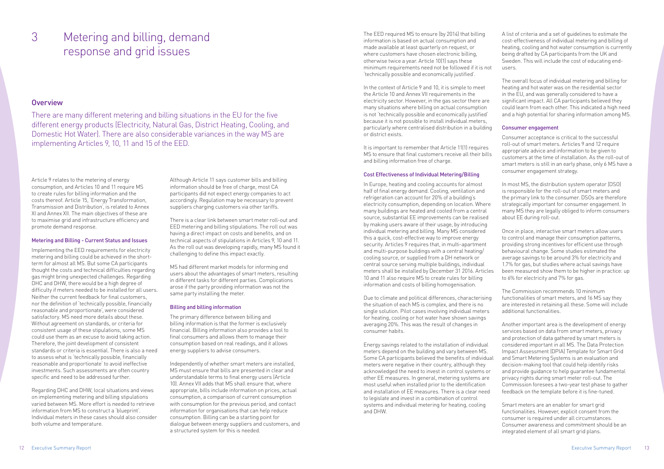#### Metering and billing, demand response and grid issues 3

#### **Overview**

There are many different metering and billing situations in the EU for the five different energy products (Electricity, Natural Gas, District Heating, Cooling, and Domestic Hot Water). There are also considerable variances in the way MS are implementing Articles 9, 10, 11 and 15 of the EED.

It is important to remember that Article 11(1) requires MS to ensure that final customers receive all their bills and billing information free of charge.

The EED required MS to ensure (by 2014) that billing information is based on actual consumption and made available at least quarterly on request, or where customers have chosen electronic billing, otherwise twice a year. Article 10(1) says these minimum requirements need not be followed if it is not 'technically possible and economically justified'.

In the context of Article 9 and 10, it is simple to meet the Article 10 and Annex VII requirements in the electricity sector. However, in the gas sector there are many situations where billing on actual consumption is not 'technically possible and economically justified' because it is not possible to install individual meters, particularly where centralised distribution in a building or district exists.

#### Cost Effectiveness of Individual Metering/Billing

In Europe, heating and cooling accounts for almost half of final energy demand. Cooling, ventilation and refrigeration can account for 20% of a building's electricity consumption, depending on location. Where many buildings are heated and cooled from a central source, substantial EE improvements can be realised by making users aware of their usage, by introducing individual metering and billing. Many MS considered this a quick, cost-effective way to improve energy security. Articles 9 requires that, in multi-apartment and multi-purpose buildings with a central heating/ cooling source, or supplied from a DH network or central source serving multiple buildings, individual meters shall be installed by December 31 2016. Articles 10 and 11 also require MS to create rules for billing information and costs of billing homogenisation.

Due to climate and political differences, characterising the situation of each MS is complex, and there is no single solution. Pilot cases involving individual meters for heating, cooling or hot water have shown savings averaging 20%. This was the result of changes in consumer habits.

Energy savings related to the installation of individual meters depend on the building and vary between MS. Some CA participants believed the benefits of individual meters were negative in their country, although they acknowledged the need to invest in control systems or other EE measures. In general, metering systems are most useful when installed prior to the identification and installation of EE measures. There is a clear need to legislate and invest in a combination of control systems and individual metering for heating, cooling and DHW.

A list of criteria and a set of guidelines to estimate the cost-effectiveness of individual metering and billing of heating, cooling and hot water consumption is currently being drafted by CA participants from the UK and Sweden. This will include the cost of educating endusers.

The overall focus of individual metering and billing for heating and hot water was on the residential sector in the EU, and was generally considered to have a significant impact. All CA participants believed they could learn from each other. This indicated a high need and a high potential for sharing information among MS.

#### Consumer engagement

Consumer acceptance is critical to the successful roll-out of smart meters. Articles 9 and 12 require appropriate advice and information to be given to customers at the time of installation. As the roll-out of smart meters is still in an early phase, only 6 MS have a consumer engagement strategy.

In most MS, the distribution system operator (DSO) is responsible for the roll-out of smart meters and the primary link to the consumer. DSOs are therefore strategically important for consumer engagement. In many MS they are legally obliged to inform consumers about EE during roll-out.

Once in place, interactive smart meters allow users to control and manage their consumption patterns, providing strong incentives for efficient use through behavioural change. Some studies estimated the average savings to be around 3% for electricity and 1.7% for gas, but studies where actual savings have been measured show them to be higher in practice: up to 6% for electricity and 7% for gas.

The Commission recommends 10 minimum functionalities of smart meters, and 16 MS say they are interested in retaining all these. Some will include additional functionalities.

Another important area is the development of energy services based on data from smart meters, privacy and protection of data gathered by smart meters is considered important in all MS. The Data Protection Impact Assessment (DPIA) Template for Smart Grid and Smart Metering Systems is an evaluation and decision-making tool that could help identify risks and provide guidance to help guarantee fundamental privacy rights during smart meter roll-out. The Commission foresees a two-year test phase to gather feedback on the template before it is fine-tuned.

Smart meters are an enabler for smart grid functionalities. However, explicit consent from the consumer is required under all circumstances. Consumer awareness and commitment should be an integrated element of all smart grid plans.

Article 9 relates to the metering of energy consumption, and Articles 10 and 11 require MS to create rules for billing information and the costs thereof. Article 15, 'Energy Transformation, Transmission and Distribution', is related to Annex XI and Annex XII. The main objectives of these are to maximise grid and infrastructure efficiency and promote demand response.

#### Metering and Billing - Current Status and Issues

Implementing the EED requirements for electricity metering and billing could be achieved in the shortterm for almost all MS. But some CA participants thought the costs and technical difficulties regarding gas might bring unexpected challenges. Regarding DHC and DHW, there would be a high degree of difficulty if meters needed to be installed for all users. Neither the current feedback for final customers, nor the definition of 'technically possible, financially reasonable and proportionate', were considered satisfactory. MS need more details about these. Without agreement on standards, or criteria for consistent usage of these stipulations, some MS could use them as an excuse to avoid taking action. Therefore, the joint development of consistent standards or criteria is essential. There is also a need to assess what is 'technically possible, financially reasonable and proportionate' to avoid ineffective investments. Such assessments are often country specific and need to be addressed further.

Regarding DHC and DHW, local situations and views on implementing metering and billing stipulations varied between MS. More effort is needed to retrieve information from MS to construct a 'blueprint'. Individual meters in these cases should also consider both volume and temperature.

Although Article 11 says customer bills and billing information should be free of charge, most CA participants did not expect energy companies to act accordingly. Regulation may be necessary to prevent suppliers charging customers via other tariffs.

There is a clear link between smart meter roll-out and EED metering and billing stipulations. The roll out was having a direct impact on costs and benefits, and on technical aspects of stipulations in Articles 9, 10 and 11. As the roll out was developing rapidly, many MS found it challenging to define this impact exactly.

MS had different market models for informing end users about the advantages of smart meters, resulting in different tasks for different parties. Complications arose if the party providing information was not the same party installing the meter.

#### Billing and billing information

The primary difference between billing and billing information is that the former is exclusively financial. Billing information also provides a tool to final consumers and allows them to manage their consumption based on real readings, and it allows energy suppliers to advise consumers.

Independently of whether smart meters are installed, MS must ensure that bills are presented in clear and understandable terms to final energy users (Article 10). Annex VII adds that MS shall ensure that, where appropriate, bills include information on prices, actual consumption, a comparison of current consumption with consumption for the previous period, and contact information for organisations that can help reduce consumption. Billing can be a starting point for dialogue between energy suppliers and customers, and a structured system for this is needed.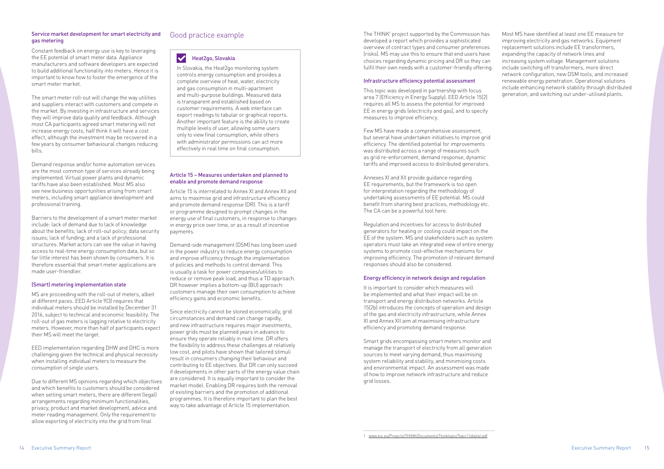#### Service market development for smart electricity and gas metering

Constant feedback on energy use is key to leveraging the EE potential of smart meter data. Appliance manufacturers and software developers are expected to build additional functionality into meters. Hence it is important to know how to foster the emergence of the smart meter market.

The smart meter roll-out will change the way utilities and suppliers interact with customers and compete in the market. By investing in infrastructure and services they will improve data quality and feedback. Although most CA participants agreed smart metering will not increase energy costs, half think it will have a cost effect, although the investment may be recovered in a few years by consumer behavioural changes reducing bills.

Demand response and/or home automation services are the most common type of services already being implemented. Virtual power plants and dynamic tariffs have also been established. Most MS also see new business opportunities arising from smart meters, including smart appliance development and professional training.

Barriers to the development of a smart meter market include: lack of demand due to lack of knowledge about the benefits; lack of roll-out policy; data security issues; lack of funding; and a lack of professional structures. Market actors can see the value in having access to real-time energy consumption data, but so far little interest has been shown by consumers. It is therefore essential that smart meter applications are made user-friendlier.

#### (Smart) metering implementation state

MS are proceeding with the roll-out of meters, albeit at different paces. EED Article 9(3) requires that individual meters should be installed by December 31 2016, subject to technical and economic feasibility. The roll-out of gas meters is lagging relative to electricity meters. However, more than half of participants expect their MS will meet the target.

EED implementation regarding DHW and DHC is more challenging given the technical and physical necessity when installing individual meters to measure the consumption of single users.

The THINK<sup>1</sup> project supported by the Commission has developed a report which provides a sophisticated overview of contract types and consumer preferences (risks). MS may use this to ensure that end users have choices regarding dynamic pricing and DR so they can fulfil their own needs with a customer-friendly offering.

Due to different MS opinions regarding which objectives and which benefits to customers should be considered when setting smart meters, there are different (legal) arrangements regarding minimum functionalities, privacy, product and market development, advice and meter reading management. Only the requirement to allow exporting of electricity into the grid from final

#### Article 15 – Measures undertaken and planned to enable and promote demand response

Article 15 is interrelated to Annex XI and Annex XII and aims to maximise grid and infrastructure efficiency and promote demand response (DR). This is a tariff or programme designed to prompt changes in the energy use of final customers, in response to changes in energy price over time, or as a result of incentive payments.

Demand-side management (DSM) has long been used in the power industry to reduce energy consumption and improve efficiency through the implementation of policies and methods to control demand. This is usually a task for power companies/utilities to reduce or remove peak load, and thus a TD approach. DR however implies a bottom-up (BU) approach: customers manage their own consumption to achieve efficiency gains and economic benefits.

#### $\blacktriangledown$ Heat2go, Slovakia

Since electricity cannot be stored economically, grid circumstances and demand can change rapidly, and new infrastructure requires major investments, power grids must be planned years in advance to ensure they operate reliably in real time. DR offers the flexibility to address these challenges at relatively low cost, and pilots have shown that tailored stimuli result in consumers changing their behaviour and contributing to EE objectives. But DR can only succeed if developments in other parts of the energy value chain are considered. It is equally important to consider the market model. Enabling DR requires both the removal of existing barriers and the promotion of additional programmes. It is therefore important to plan the best way to take advantage of Article 15 implementation.

#### Infrastructure efficiency potential assessment

This topic was developed in partnership with focus area 7 (Efficiency in Energy Supply). EED Article 15(2) requires all MS to assess the potential for improved EE in energy grids (electricity and gas), and to specify measures to improve efficiency.

Few MS have made a comprehensive assessment, but several have undertaken initiatives to improve grid efficiency. The identified potential for improvements was distributed across a range of measures such as grid re-enforcement, demand response, dynamic tariffs and improved access to distributed generators.

Annexes XI and XII provide guidance regarding EE requirements, but the framework is too open for interpretation regarding the methodology of undertaking assessments of EE potential. MS could benefit from sharing best practices, methodology etc. The CA can be a powerful tool here.

Regulation and incentives for access to distributed generators for heating or cooling could impact on the EE of the system. MS and stakeholders such as system operators must take an integrated view of entire energy systems to promote cost-effective mechanisms for improving efficiency. The promotion of relevant demand responses should also be considered.

#### Energy efficiency in network design and regulation

It is important to consider which measures will be implemented and what their impact will be on transport and energy distribution networks. Article 15(2b) introduces the concepts of operation and design of the gas and electricity infrastructure, while Annex XI and Annex XII aim at maximising infrastructure efficiency and promoting demand response.

Smart grids encompassing smart meters monitor and manage the transport of electricity from all generation sources to meet varying demand, thus maximising system reliability and stability, and minimising costs and environmental impact. An assessment was made of how to improve network infrastructure and reduce grid losses.

Most MS have identified at least one EE measure for improving electricity and gas networks. Equipment replacement solutions include EE transformers, expanding the capacity of network lines and increasing system voltage. Management solutions include switching off transformers, more direct network configuration, new DSM tools, and increased renewable energy penetration. Operational solutions include enhancing network stability through distributed generation, and switching out under-utilised plants.

#### Good practice example

In Slovakia, the Heat2go monitoring system controls energy consumption and provides a complete overview of heat, water, electricity and gas consumption in multi-apartment and multi-purpose buildings. Measured data is transparent and established based on customer requirements. A web interface can export readings to tabular or graphical reports. Another important feature is the ability to create multiple levels of user, allowing some users only to view final consumption, while others with administrator permissions can act more effectively in real time on final consumption.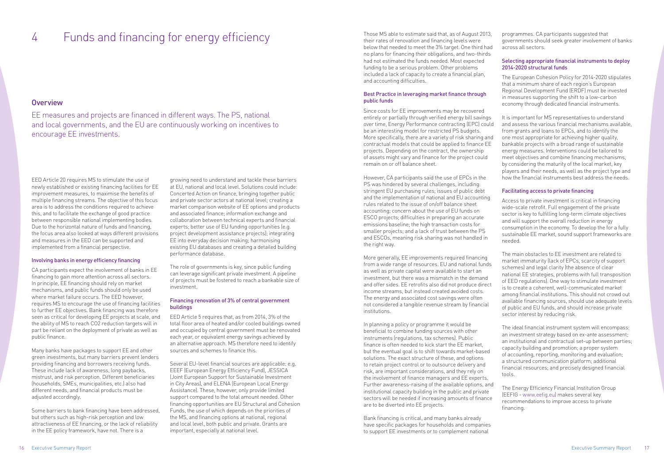## 4 Funds and financing for energy efficiency Those MS able to estimate said that, as of August 2013,

#### **Overview**

their rates of renovation and financing levels were below that needed to meet the 3% target. One third had no plans for financing their obligations, and two-thirds had not estimated the funds needed. Most expected funding to be a serious problem. Other problems included a lack of capacity to create a financial plan, and accounting difficulties.

#### Best Practice in leveraging market finance through public funds

Since costs for EE improvements may be recovered entirely or partially through verified energy bill savings over time, Energy Performance contracting (EPC) could be an interesting model for restricted PS budgets. More specifically, there are a variety of risk sharing and contractual models that could be applied to finance EE projects. Depending on the contract, the ownership of assets might vary and finance for the project could remain on or off balance sheet.

In planning a policy or programme it would be beneficial to combine funding sources with other instruments (regulations, tax schemes). Public finance is often needed to kick start the EE market, but the eventual goal is to shift towards market-based solutions. The exact structure of these, and options to retain project control or to outsource delivery and risk, are important considerations, and they rely on the involvement of finance managers and EE experts. Further awareness-raising of the available options, and institutional capacity building in the public and private sectors will be needed if increasing amounts of finance are to be diverted into EE projects.

However, CA participants said the use of EPCs in the PS was hindered by several challenges, including: stringent EU purchasing rules; issues of public debt and the implementation of national and EU accounting rules related to the issue of on/off balance sheet accounting; concern about the use of EU funds on ESCO projects; difficulties in preparing an accurate emissions baseline; the high transaction costs for smaller projects; and a lack of trust between the PS and ESCOs, meaning risk sharing was not handled in the right way.

More generally, EE improvements required financing from a wide range of resources. EU and national funds as well as private capital were available to start an investment, but there was a mismatch in the demand and offer sides. EE retrofits also did not produce direct income streams, but instead created avoided costs. The energy and associated cost savings were often not considered a tangible revenue stream by financial institutions.

Bank financing is critical, and many banks already have specific packages for households and companies to support EE investments or to complement national

programmes. CA participants suggested that governments should seek greater involvement of banks across all sectors.

#### Selecting appropriate financial instruments to deploy 2014-2020 structural funds

The European Cohesion Policy for 2014-2020 stipulates that a minimum share of each region's European Regional Development Fund (ERDF) must be invested in measures supporting the shift to a low-carbon economy through dedicated financial instruments.

It is important for MS representatives to understand and assess the various financial mechanisms available, from grants and loans to EPCs, and to identify the one most appropriate for achieving higher quality, bankable projects with a broad range of sustainable energy measures. Interventions could be tailored to meet objectives and combine financing mechanisms, by considering the maturity of the local market, key players and their needs, as well as the project type and how the financial instruments best address the needs.

#### Facilitating access to private financing

Access to private investment is critical in financing wide-scale retrofit. Full engagement of the private sector is key to fulfilling long-term climate objectives and will support the overall reduction in energy consumption in the economy. To develop the for a fully sustainable EE market, sound support frameworks are needed.

The main obstacles to EE investment are related to market immaturity (lack of EPCs, scarcity of support schemes) and legal clarity (the absence of clear national EE strategies, problems with full transposition of EED regulations). One way to stimulate investment is to create a coherent, well-communicated market among financial institutions. This should not crowd out available financing sources, should use adequate levels of public and EU funds, and should increase private sector interest by reducing risk.

The ideal financial instrument system will encompass: an investment strategy based on ex-ante assessment; an institutional and contractual set-up between parties; capacity building and promotion; a proper system of accounting, reporting, monitoring and evaluation; a structured communication platform; additional financial resources; and precisely designed financial tools.

The Energy Efficiency Financial Institution Group (EEFIG - www.eefig.eu) makes several key recommendations to improve access to private financing.

EE measures and projects are financed in different ways. The PS, national and local governments, and the EU are continuously working on incentives to encourage EE investments.

EED Article 20 requires MS to stimulate the use of newly established or existing financing facilities for EE improvement measures, to maximise the benefits of multiple financing streams. The objective of this focus area is to address the conditions required to achieve this, and to facilitate the exchange of good practice between responsible national implementing bodies. Due to the horizontal nature of funds and financing, the focus area also looked at ways different provisions and measures in the EED can be supported and implemented from a financial perspective.

#### Involving banks in energy efficiency financing

CA participants expect the involvement of banks in EE financing to gain more attention across all sectors. In principle, EE financing should rely on market mechanisms, and public funds should only be used where market failure occurs. The EED however, requires MS to encourage the use of financing facilities to further EE objectives. Bank financing was therefore seen as critical for developing EE projects at scale, and the ability of MS to reach CO2 reduction targets will in part be reliant on the deployment of private as well as public finance.

Many banks have packages to support EE and other green investments, but many barriers prevent lenders providing financing and borrowers receiving funds. These include lack of awareness, long paybacks, mistrust, and risk perception. Different beneficiaries (households, SMEs, municipalities, etc.) also had different needs, and financial products must be adjusted accordingly.

Some barriers to bank financing have been addressed, but others such as high-risk perception and low attractiveness of EE financing, or the lack of reliability in the EE policy framework, have not. There is a

growing need to understand and tackle these barriers at EU, national and local level. Solutions could include: Concerted Action on finance, bringing together public and private sector actors at national level; creating a market comparison website of EE options and products and associated finance; information exchange and collaboration between technical experts and financial experts; better use of EU funding opportunities (e.g. project development assistance projects); integrating EE into everyday decision making; harmonising existing EU databases and creating a detailed building performance database.

The role of governments is key, since public funding can leverage significant private investment. A pipeline of projects must be fostered to reach a bankable size of investment.

#### Financing renovation of 3% of central government buildings

EED Article 5 requires that, as from 2014, 3% of the total floor area of heated and/or cooled buildings owned and occupied by central government must be renovated each year, or equivalent energy savings achieved by an alternative approach. MS therefore need to identify sources and schemes to finance this.

Several EU-level financial sources are applicable: e.g. EEEF (European Energy Efficiency Fund), JESSICA (Joint European Support for Sustainable Investment in City Areas), and ELENA (European Local Energy Assistance). These, however, only provide limited support compared to the total amount needed. Other financing opportunities are EU Structural and Cohesion Funds, the use of which depends on the priorities of the MS, and financing options at national, regional and local level, both public and private. Grants are important, especially at national level.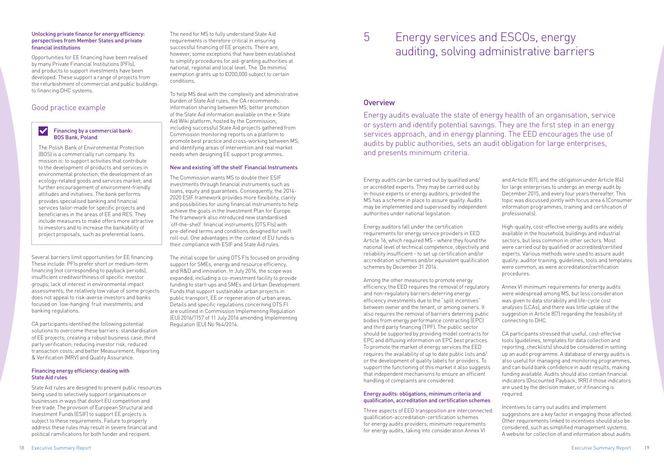#### Unlocking private finance for energy efficiency: perspectives from Member States and private financial institutions

Opportunities for EE financing have been realised by many Private Financial Institutions (PFIs), and products to support investments have been developed. These support a range of projects from the refurbishment of commercial and public buildings to financing DHC systems.

Several barriers limit opportunities for EE financing. These include: PFIs prefer short or medium-term financing (not corresponding to payback periods); insufficient creditworthiness of specific investor groups; lack of interest in environmental impact assessments; the relatively low value of some projects does not appeal to risk-averse investors and banks focused on 'low-hanging' fruit investments; and banking regulations.

CA participants identified the following potential solutions to overcome these barriers: standardisation of EE projects; creating a robust business case; third party verification; reducing investor risk; reduced transaction costs; and better Measurement, Reporting & Verification (MRV) and Quality Assurance.

#### Financing energy efficiency: dealing with State Aid rules

State Aid rules are designed to prevent public resources being used to selectively support organisations or businesses in ways that distort EU competition and free trade. The provision of European Structural and Investment Funds (ESIF) to support EE projects is subject to these requirements. Failure to properly address these rules may result in severe financial and political ramifications for both funder and recipient.

The need for MS to fully understand State Aid requirements is therefore critical in ensuring successful financing of EE projects. There are, however, some exceptions that have been established to simplify procedures for aid-granting authorities at national, regional and local level. The 'De minimis' exemption grants up to Đ200,000 subject to certain conditions.

To help MS deal with the complexity and administrative burden of State Aid rules, the CA recommends: information sharing between MS; better promotion of the State Aid information available on the e-State Aid Wiki platform, hosted by the Commission; including successful State Aid projects gathered from Commission monitoring reports on a platform to promote best practice and cross-working between MS; and identifying areas of intervention and real market needs when designing EE support programmes.

#### New and existing 'off the shelf' Financial Instruments

The Commission wants MS to double their ESIF investments through financial instruments such as loans, equity and guarantees. Consequently, the 2014- 2020 ESIF framework provides more flexibility, clarity and possibilities for using financial instruments to help achieve the goals in the Investment Plan for Europe. The framework also introduced new standardised 'off-the-shelf' financial instruments (OTS FIs) with pre-defined terms and conditions designed for swift roll-out. One advantages in the context of EU funds is their compliance with ESIF and State Aid rules.

The initial scope for using OTS FIs focused on providing support for SMEs, energy and resource efficiency, and R&D and innovation. In July 2016, the scope was expanded, including a co-investment facility to provide funding to start-ups and SMEs and Urban Development Funds that support sustainable urban projects in public transport, EE or regeneration of urban areas. Details and specific regulations concerning OTS FI are outlined in Commission Implementing Regulation (EU) 2016/1157 of 11 July 2016 amending Implementing Regulation (EU) No 964/2014.

Energy services and ESCOs, energy auditing, solving administrative barriers

#### **Overview**

### 5

#### $\blacktriangledown$ Financing by a commercial bank: BOS Bank, Poland

Energy audits evaluate the state of energy health of an organisation, service or system and identify potential savings. They are the first step in an energy services approach, and in energy planning. The EED encourages the use of audits by public authorities, sets an audit obligation for large enterprises, and presents minimum criteria.

Energy audits can be carried out by qualified and/ or accredited experts. They may be carried out by in-house experts or energy auditors, provided the MS has a scheme in place to assure quality. Audits may be implemented and supervised by independent authorities under national legislation.

Energy auditors fall under the certification requirements for energy service providers in EED Article 16, which required MS - where they found the national level of technical competence, objectivity and reliability insufficient - to set up certification and/or accreditation schemes and/or equivalent qualification schemes by December 31 2014.

Among the other measures to promote energy efficiency, the EED requires the removal of regulatory and non-regulatory barriers deterring energy efficiency investments due to the "split incentives" between owner and the tenant, or among owners. It also requires the removal of barriers deterring public bodies from energy performance contracting (EPC) and third party financing (TPF). The public sector should be supported by providing model contracts for EPC and diffusing information on EPC best practices. To promote the market of energy services the EED requires the availability of up to date public lists and/ or the development of quality labels for providers. To support the functioning of this market it also suggests that independent mechanisms to ensure an efficient handling of complaints are considered.

#### Energy audits: obligations, minimum criteria and qualification, accreditation and certification schemes

Three aspects of EED transposition are interconnected: qualification-accreditation-certification schemes for energy audits providers; minimum requirements for energy audits, taking into consideration Annex VI

and Article 8(7); and the obligation under Article 8(4) for large enterprises to undergo an energy audit by December 2015, and every four years thereafter. This topic was discussed jointly with focus area 6 (Consumer information programmes, training and certification of professionals).

High-quality, cost-effective energy audits are widely available in the household, buildings and industrial sectors, but less common in other sectors. Most were carried out by qualified or accredited/certified experts. Various methods were used to assure audit quality: auditor training, guidelines, tools and templates were common, as were accreditation/certification procedures.

Annex VI minimum requirements for energy audits were widespread among MS, but less consideration was given to data storability and life-cycle cost analyses (LCAs), and there was little uptake of the suggestion in Article 8(7) regarding the feasibility of connecting to DHC.

CA participants stressed that useful, cost-effective tools (guidelines, templates for data collection and reporting, checklists) should be considered in setting up an audit programme. A database of energy audits is also useful for managing and monitoring programmes, and can build bank confidence in audit results, making funding available. Audits should also contain financial indicators (Discounted Payback, IRR) if those indicators are used by the decision maker, or if financing is required.

Incentives to carry out audits and implement suggestions are a key factor in engaging those affected. Other requirements linked to incentives should also be considered, such as simplified management systems. A website for collection of and information about audits

#### Good practice example

The Polish Bank of Environmental Protection (BOS) is a commercially run company. Its mission is: to support activities that contribute to the development of products and services in environmental protection; the development of an ecology-related goods and services market; and further encouragement of environment-friendly attitudes and initiatives. The bank performs provides specialised banking and financial services tailor-made for specific projects and beneficiaries in the areas of EE and RES. They include measures to make offers more attractive to investors and to increase the bankability of project proposals, such as preferential loans.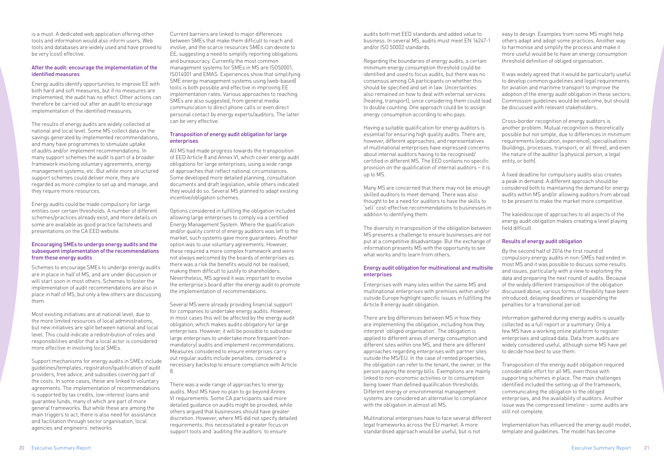is a must. A dedicated web application offering other tools and information would also inform users. Web tools and databases are widely used and have proved to be very (cost) effective.

#### After the audit: encourage the implementation of the identified measures

Energy audits identify opportunities to improve EE with both hard and soft measures, but if no measures are implemented, the audit has no effect. Other actions can therefore be carried out after an audit to encourage implementation of the identified measures.

The results of energy audits are widely collected at national and local level. Some MS collect data on the savings generated by implemented recommendations, and many have programmes to stimulate uptake of audits and/or implement recommendations. In many support schemes the audit is part of a broader framework involving voluntary agreements, energy management systems, etc. But while more structured support schemes could deliver more, they are regarded as more complex to set up and manage, and they require more resources.

Energy audits could be made compulsory for large entities over certain thresholds. A number of different schemes/practices already exist, and more details on some are available as good practice factsheets and presentations on the CA EED website.

#### Encouraging SMEs to undergo energy audits and the subsequent implementation of the recommendations from these energy audits

Schemes to encourage SMEs to undergo energy audits are in place in half of MS, and are under discussion or will start soon in most others. Schemes to foster the implementation of audit recommendations are also in place in half of MS, but only a few others are discussing them.

Most existing initiatives are at national level, due to the more limited resources of local administrations, but new initiatives are split between national and local level. This could indicate a redistribution of roles and responsibilities and/or that a local actor is considered more effective in involving local SMEs.

Support mechanisms for energy audits in SMEs include guidelines/templates, registration/qualification of audit providers, free advice, and subsidies covering part of the costs. In some cases, these are linked to voluntary agreements. The implementation of recommendations is supported by tax credits, low-interest loans and guarantee funds, many of which are part of more general frameworks. But while these are among the main triggers to act, there is also need for assistance and facilitation through sector organisation, local agencies and engineers' networks

Current barriers are linked to major differences between SMEs that make them difficult to reach and involve, and the scarce resources SMEs can devote to EE, suggesting a need to simplify reporting obligations and bureaucracy. Currently the most common management systems for SMEs in MS are ISO50001, ISO14001 and EMAS. Experiences show that simplifying SME energy management systems using (web-based) tools is both possible and effective in improving EE implementation rates. Various approaches to reaching SMEs are also suggested, from general media communication to direct phone calls or even direct personal contact by energy experts/auditors. The latter can be very effective.

#### Transposition of energy audit obligation for large enterprises

There are big differences between MS in how they are implementing the obligation, including how they interpret 'obliged organisation'. The obligation is applied to different areas of energy consumption and different sites within one MS, and there are different approaches regarding enterprises with partner sites outside the MS/EU. In the case of rented properties, the obligation can refer to the tenant, the owner, or the person paying the energy bills. Exemptions are mainly linked to non-economic activities or to consumption being lower than defined qualification thresholds. Different energy or environmental management systems are considered an alternative to compliance with the obligation in almost all MS.

All MS had made progress towards the transposition of EED Article 8 and Annex VI, which cover energy audit obligations for large enterprises, using a wide range of approaches that reflect national circumstances. Some developed more detailed planning, consultation documents and draft legislation, while others indicated they would do so. Several MS planned to adapt existing incentive/obligation schemes.

Options considered in fulfilling the obligation included allowing large enterprises to comply via a certified Energy Management System. Where the qualification and/or quality control of energy auditors was left to the market, such systems gave more guarantees. Another option was to use voluntary agreements. However, these required a more complex framework and were not always welcomed by the boards of enterprises as there was a risk the benefits would not be realised, making them difficult to justify to shareholders. Nevertheless, MS agreed it was important to involve the enterprise's board after the energy audit to promote the implementation of recommendations.

Several MS were already providing financial support for companies to undertake energy audits. However, in most cases this will be affected by the energy audit obligation, which makes audits obligatory for large enterprises. However, it will be possible to subsidise large enterprises to undertake more frequent (nonmandatory) audits and implement recommendations. Measures considered to ensure enterprises carry out regular audits include penalties, considered a necessary backstop to ensure compliance with Article 8.

There was a wide range of approaches to energy audits. Most MS have no plan to go beyond Annex VI requirements. Some CA participants said more detailed guidance on audits might be provided, while others argued that businesses should have greater discretion. However, where MS did not specify detailed requirements, this necessitated a greater focus on support tools and 'auditing the auditors' to ensure

audits both met EED standards and added value to business. In several MS, audits must meet EN 16247-1 and/or ISO 50002 standards.

Regarding the boundaries of energy audits, a certain minimum energy consumption threshold could be identified and used to focus audits, but there was no consensus among CA participants on whether this should be specified and set in law. Uncertainties also remained on how to deal with external services (heating, transport), since considering them could lead to double counting. One approach could be to assign energy consumption according to who pays.

Having a suitable qualification for energy auditors is essential for ensuring high quality audits. There are, however, different approaches, and representatives of multinational enterprises have expressed concerns about internal auditors having to be recognised/ certified in different MS. The EED contains no specific provision on the qualification of internal auditors – it is up to MS.

Many MS are concerned that there may not be enough skilled auditors to meet demand. There was also thought to be a need for auditors to have the skills to 'sell' cost-effective recommendations to businesses in addition to identifying them.

The diversity in transposition of the obligation between MS presents a challenge to ensure businesses are not put at a competitive disadvantage. But the exchange of information presents MS with the opportunity to see what works and to learn from others.

#### Energy audit obligation for multinational and multisite enterprises

Enterprises with many sites within the same MS and multinational enterprises with premises within and/or outside Europe highlight specific issues in fulfilling the Article 8 energy audit obligation.

Multinational enterprises have to face several different legal frameworks across the EU market. A more standardised approach would be useful, but is not

easy to design. Examples from some MS might help others adapt and adopt some practices. Another way to harmonise and simplify the process and make it more useful would be to have an energy consumption threshold definition of obliged organisation.

It was widely agreed that it would be particularly useful to develop common guidelines and legal requirements for aviation and maritime transport to improve the adoption of the energy audit obligation in these sectors. Commission guidelines would be welcome, but should be discussed with relevant stakeholders.

Cross-border recognition of energy auditors is another problem. Mutual recognition is theoretically possible but not simple, due to differences in minimum requirements (education, experience), specialisations (buildings, processes, transport, or all three), and even the nature of the auditor (a physical person, a legal entity, or both).

A fixed deadline for compulsory audits also creates a peak in demand. A different approach should be considered both to maintaining the demand for energy audits within MS and/or allowing auditors from abroad to be present to make the market more competitive.

The kaleidoscope of approaches to all aspects of the energy audit obligation makes creating a level playing field difficult.

#### Results of energy audit obligation

By the second half of 2016 the first round of compulsory energy audits in non-SMEs had ended in most MS and it was possible to discuss some results and issues, particularly with a view to exploiting the data and preparing the next round of audits. Because of the widely different transposition of the obligation discussed above, various forms of flexibility have been introduced, delaying deadlines or suspending the penalties for a transitional period.

Information gathered during energy audits is usually collected as a full report or a summary. Only a few MS have a working online platform to register enterprises and upload data. Data from audits are widely considered useful, although some MS have yet to decide how best to use them.

Transposition of the energy audit obligation required considerable effort for all MS, even those with supporting schemes in place. The main challenges identified included the setting up of the framework, communicating the obligation to the obliged enterprises, and the availability of auditors. Another issue was the compressed timeline – some audits are still not complete.

Implementation has influenced the energy audit model, template and guidelines. The model has become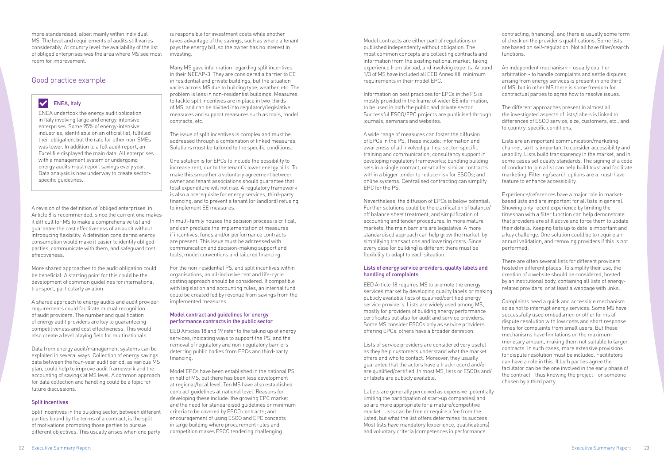more standardised, albeit mainly within individual MS. The level and requirements of audits still varies considerably. At country level the availability of the list of obliged enterprises was the area where MS see most room for improvement.

A revision of the definition of 'obliged enterprises' in Article 8 is recommended, since the current one makes it difficult for MS to make a comprehensive list and guarantee the cost effectiveness of an audit without introducing flexibility. A definition considering energy consumption would make it easier to identify obliged parties, communicate with them, and safeguard cost effectiveness.

More shared approaches to the audit obligation could be beneficial. A starting point for this could be the development of common guidelines for international transport, particularly aviation.

A shared approach to energy audits and audit provider requirements could facilitate mutual recognition of audit providers. The number and qualification of energy audit providers are key to guaranteeing competitiveness and cost effectiveness. This would also create a level playing field for multinationals.

Data from energy audit/management systems can be exploited in several ways. Collection of energy savings data between the four-year audit period, as various MS plan, could help to improve audit framework and the accounting of savings at MS level. A common approach for data collection and handling could be a topic for future discussions.

#### Split incentives

Split incentives in the building sector, between different parties bound by the terms of a contract, is the split of motivations prompting those parties to pursue different objectives. This usually arises when one party

is responsible for investment costs while another takes advantage of the savings, such as where a tenant pays the energy bill, so the owner has no interest in investing.

Many MS gave information regarding split incentives in their NEEAP-3. They are considered a barrier to EE in residential and private buildings, but the situation varies across MS due to building type, weather, etc. The problem is less in non-residential buildings. Measures to tackle split incentives are in place in two-thirds of MS, and can be divided into regulatory/legislative measures and support measures such as tools, model contracts, etc.

The issue of split incentives is complex and must be addressed through a combination of linked measures. Solutions must be tailored to the specific conditions.

One solution is for EPCs to include the possibility to increase rent, dur to the tenant's lower energy bills. To make this smoother a voluntary agreement between owner and tenant associations should guarantee that total expenditure will not rise. A regulatory framework is also a prerequisite for energy services, third-party financing, and to prevent a tenant (or landlord) refusing to implement EE measures.

In multi-family houses the decision process is critical, and can preclude the implementation of measures if incentives, funds and/or performance contracts are present. This issue must be addressed with communication and decision-making support and tools, model conventions and tailored financing.

For the non-residential PS, and split incentives within organisations, an all-inclusive rent and life-cycle costing approach should be considered. If compatible with legislation and accounting rules, an internal fund could be created fed by revenue from savings from the implemented measures.

#### Model contract and guidelines for energy performance contracts in the public sector

EED Articles 18 and 19 refer to the taking up of energy services, indicating ways to support the PS, and the removal of regulatory and non-regulatory barriers deterring public bodies from EPCs and third-party financing.

Model EPCs have been established in the national PS in half of MS, but there has been less development at regional/local level. Ten MS have also established contract guidelines at national level. Reasons for developing these include: the growing EPC market and the need for standardised guidelines or minimum criteria to be covered by ESCO contracts; and encouragement of using ESCO and EPC concepts in large building where procurement rules and competition makes ESCO tendering challenging.

Model contracts are either part of regulations or published independently without obligation. The most common concepts are collecting contracts and information from the existing national market, taking experience from abroad, and involving experts. Around 1/3 of MS have included all EED Annex XIII minimum requirements in their model EPC.

#### $\blacktriangledown$ ENEA, Italy

Information on best practices for EPCs in the PS is mostly provided in the frame of wider EE information, to be used in both the public and private sector. Successful ESCO/EPC projects are publicised through journals, seminars and websites.

A wide range of measures can foster the diffusion of EPCs in the PS. These include: information and awareness of all involved parties; sector-specific training and communication; consultancy support in developing regulatory frameworks; bundling building sets in a single contract, or smaller similar contracts within a bigger tender to reduce risk for ESCOs; and online systems. Centralised contracting can simplify EPC for the PS.

Nevertheless, the diffusion of EPCs is below potential. Further solutions could be the clarification of balance/ off balance sheet treatment, and simplification of accounting and tender procedures. In more mature markets, the main barriers are legislative. A more standardised approach can help grow the market, by simplifying transactions and lowering costs. Since every case (or building) is different there must be flexibility to adapt to each situation.

#### Lists of energy service providers, quality labels and handling of complaints

EED Article 18 requires MS to promote the energy services market by developing quality labels or making publicly available lists of qualified/certified energy service providers. Lists are widely used among MS, mostly for providers of building energy performance certificates but also for audit and service providers. Some MS consider ESCOs only as service providers offering EPCs; others have a broader definition.

Lists of service providers are considered very useful as they help customers understand what the market offers and who to contact. Moreover, they usually guarantee that the actors have a track record and/or are qualified/certified. In most MS, lists or ESCOs and/ or labels are publicly available.

Labels are generally perceived as expensive (potentially limiting the participation of start-up companies) and so are more appropriate for a mature/competitive market. Lists can be free or require a fee from the listed, but what the list offers determines its success. Most lists have mandatory (experience, qualifications) and voluntary criteria (competences in performance

contracting, financing), and there is usually some form of check on the provider's qualifications. Some lists are based on self-regulation. Not all have filter/search functions.

An independent mechanism – usually court or arbitration - to handle complaints and settle disputes arising from energy services is present in one third of MS, but in other MS there is some freedom for contractual parties to agree how to resolve issues.

The different approaches present in almost all the investigated aspects of lists/labels is linked to differences of ESCO service, size, customers, etc., and to country-specific conditions.

Lists are an important communication/marketing channel, so it is important to consider accessibility and usability. Lists build transparency in the market, and in some cases set quality standards. The signing of a code of conduct to join a list can help build trust and facilitate marketing. Filtering/search options are a must-have feature to enhance accessibility.

Experience/references have a major role in marketbased lists and are important for all lists in general. Showing only recent experience by limiting the timespan with a filter function can help demonstrate that providers are still active and force them to update their details. Keeping lists up to date is important and a key challenge. One solution could be to require an annual validation, and removing providers if this is not performed.

There are often several lists for different providers hosted in different places. To simplify their use, the creation of a website should be considered, hosted by an institutional body, containing all lists of energyrelated providers, or at least a webpage with links.

Complaints need a quick and accessible mechanism so as not to interrupt energy services. Some MS have successfully used ombudsmen or other forms of dispute resolution with low costs and short response times for complaints from small users. But these mechanisms have limitations on the maximum monetary amount, making them not suitable to larger contracts. In such cases, more extensive provisions for dispute resolution must be included. Facilitators can have a role in this. If both parties agree the facilitator can be the one involved in the early phase of the contract - thus knowing the project - or someone chosen by a third party.

### Good practice example

ENEA undertook the energy audit obligation in Italy involving large and energy-intensive enterprises. Some 95% of energy-intensive industries, identifiable on an official list, fulfilled their obligation, but the rate for other non-SMEs was lower. In addition to a full audit report, an Excel file displayed the main data. All enterprises with a management system or undergoing energy audits must report savings every year. Data analysis is now underway to create sectorspecific guidelines.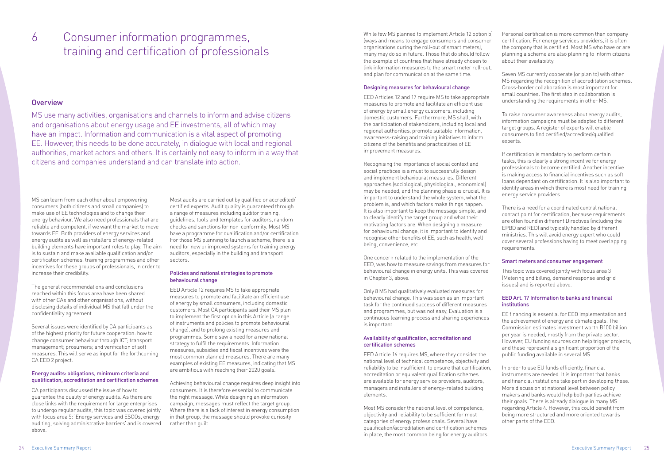### 6 Consumer information programmes, while few MS planned to implement Article 12 option b) training and certification of professionals

#### **Overview**

(ways and means to engage consumers and consumer organisations during the roll-out of smart meters), many may do so in future. Those that do should follow the example of countries that have already chosen to link information measures to the smart meter roll-out, and plan for communication at the same time.

#### Designing measures for behavioural change

EED Articles 12 and 17 require MS to take appropriate measures to promote and facilitate an efficient use of energy by small energy customers, including domestic customers. Furthermore, MS shall, with the participation of stakeholders, including local and regional authorities, promote suitable information, awareness-raising and training initiatives to inform citizens of the benefits and practicalities of EE improvement measures.

Recognising the importance of social context and social practices is a must to successfully design and implement behavioural measures. Different approaches (sociological, physiological, economical) may be needed, and the planning phase is crucial. It is important to understand the whole system, what the problem is, and which factors make things happen. It is also important to keep the message simple, and to clearly identify the target group and what their motivating factors are. When designing a measure for behavioural change, it is important to identify and recognise other benefits of EE, such as health, wellbeing, convenience, etc.

One concern related to the implementation of the EED, was how to measure savings from measures for behavioural change in energy units. This was covered in Chapter 3, above.

Only 8 MS had qualitatively evaluated measures for behavioural change. This was seen as an important task for the continued success of different measures and programmes, but was not easy, Evaluation is a continuous learning process and sharing experiences is important.

#### Availability of qualification, accreditation and certification schemes

EED Article 16 requires MS, where they consider the national level of technical competence, objectivity and reliability to be insufficient, to ensure that certification, accreditation or equivalent qualification schemes are available for energy service providers, auditors, managers and installers of energy-related building elements.

Most MS consider the national level of competence, objectivity and reliability to be sufficient for most categories of energy professionals. Several have qualification/accreditation and certification schemes in place, the most common being for energy auditors.

Personal certification is more common than company certification. For energy services providers, it is often the company that is certified. Most MS who have or are planning a scheme are also planning to inform citizens about their availability.

Seven MS currently cooperate (or plan to) with other MS regarding the recognition of accreditation schemes. Cross-border collaboration is most important for small countries. The first step in collaboration is understanding the requirements in other MS.

To raise consumer awareness about energy audits, information campaigns must be adapted to different target groups. A register of experts will enable consumers to find certified/accredited/qualified experts.

If certification is mandatory to perform certain tasks, this is clearly a strong incentive for energy professionals to become certified. Another incentive is making access to financial incentives such as soft loans dependant on certification. It is also important to identify areas in which there is most need for training energy service providers.

There is a need for a coordinated central national contact point for certification, because requirements are often found in different Directives (including the EPBD and RED) and typically handled by different ministries. This will avoid energy expert who could cover several professions having to meet overlapping requirements.

#### Smart meters and consumer engagement

This topic was covered jointly with focus area 3 (Metering and billing, demand response and grid issues) and is reported above.

#### EED Art. 17 Information to banks and financial institutions

EE financing is essential for EED implementation and the achievement of energy and climate goals. The Commission estimates investment worth Đ100 billion per year is needed, mostly from the private sector. However, EU funding sources can help trigger projects, and these represent a significant proportion of the public funding available in several MS.

In order to use EU funds efficiently, financial instruments are needed. It is important that banks and financial institutions take part in developing these. More discussion at national level between policy makers and banks would help both parties achieve their goals. There is already dialogue in many MS regarding Article 4. However, this could benefit from being more structured and more oriented towards other parts of the EED.

MS use many activities, organisations and channels to inform and advise citizens and organisations about energy usage and EE investments, all of which may have an impact. Information and communication is a vital aspect of promoting EE. However, this needs to be done accurately, in dialogue with local and regional authorities, market actors and others. It is certainly not easy to inform in a way that citizens and companies understand and can translate into action.

MS can learn from each other about empowering consumers (both citizens and small companies) to make use of EE technologies and to change their energy behaviour. We also need professionals that are reliable and competent, if we want the market to move towards EE. Both providers of energy services and energy audits as well as installers of energy-related building elements have important roles to play. The aim is to sustain and make available qualification and/or certification schemes, training programmes and other incentives for these groups of professionals, in order to increase their credibility.

The general recommendations and conclusions reached within this focus area have been shared with other CAs and other organisations, without disclosing details of individual MS that fall under the confidentiality agreement.

Several issues were identified by CA participants as of the highest priority for future cooperation: how to change consumer behaviour through ICT; transport management; prosumers; and verification of soft measures. This will serve as input for the forthcoming CA EED 2 project.

#### Energy audits: obligations, minimum criteria and qualification, accreditation and certification schemes

CA participants discussed the issue of how to guarantee the quality of energy audits. As there are close links with the requirement for large enterprises to undergo regular audits, this topic was covered jointly with focus area 5: 'Energy services and ESCOs, energy auditing, solving administrative barriers' and is covered above.

Most audits are carried out by qualified or accredited/ certified experts. Audit quality is guaranteed through a range of measures including auditor training, guidelines, tools and templates for auditors, random checks and sanctions for non-conformity. Most MS have a programme for qualification and/or certification. For those MS planning to launch a scheme, there is a need for new or improved systems for training energy auditors, especially in the building and transport sectors.

#### Policies and national strategies to promote behavioural change

EED Article 12 requires MS to take appropriate measures to promote and facilitate an efficient use of energy by small consumers, including domestic customers. Most CA participants said their MS plan to implement the first option in this Article (a range of instruments and policies to promote behavioural change), and to prolong existing measures and programmes. Some saw a need for a new national strategy to fulfil the requirements. Information measures, subsidies and fiscal incentives were the most common planned measures. There are many examples of existing EE measures, indicating that MS are ambitious with reaching their 2020 goals.

Achieving behavioural change requires deep insight into consumers. It is therefore essential to communicate the right message. While designing an information campaign, messages must reflect the target group. Where there is a lack of interest in energy consumption in that group, the message should provoke curiosity rather than guilt.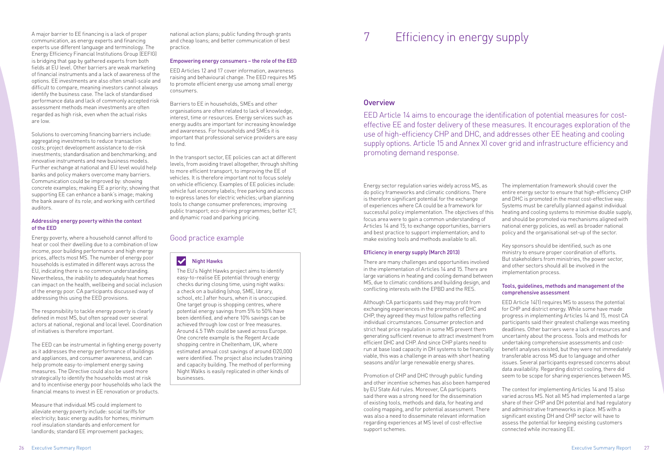A major barrier to EE financing is a lack of proper communication, as energy experts and financing experts use different language and terminology. The Energy Efficiency Financial Institutions Group (EEFIG) is bridging that gap by gathered experts from both fields at EU level. Other barriers are weak marketing of financial instruments and a lack of awareness of the options. EE investments are also often small-scale and difficult to compare, meaning investors cannot always identify the business case. The lack of standardised performance data and lack of commonly accepted risk assessment methods mean investments are often regarded as high risk, even when the actual risks are low.

Solutions to overcoming financing barriers include: aggregating investments to reduce transaction costs; project development assistance to de-risk investments; standardisation and benchmarking; and innovative instruments and new business models. Further exchange at national and EU level would help banks and policy makers overcome many barriers. Communication could be improved by: showing concrete examples; making EE a priority; showing that supporting EE can enhance a bank's image; making the bank aware of its role; and working with certified auditors.

#### Addressing energy poverty within the context of the EED

Energy poverty, where a household cannot afford to heat or cool their dwelling due to a combination of low income, poor building performance and high energy prices, affects most MS. The number of energy poor households is estimated in different ways across the EU, indicating there is no common understanding. Nevertheless, the inability to adequately heat homes can impact on the health, wellbeing and social inclusion of the energy poor. CA participants discussed way of addressing this using the EED provisions.

The responsibility to tackle energy poverty is clearly defined in most MS, but often spread over several actors at national, regional and local level. Coordination of initiatives is therefore important.

The EED can be instrumental in fighting energy poverty as it addresses the energy performance of buildings and appliances, and consumer awareness, and can help promote easy-to-implement energy saving measures. The Directive could also be used more strategically to identify the households most at risk and to incentivise energy poor households who lack the financial means to invest in EE renovation or products.

Measure that individual MS could implement to alleviate energy poverty include: social tariffs for electricity; basic energy audits for homes; minimum roof insulation standards and enforcement for landlords; standard EE improvement packages;

national action plans; public funding through grants and cheap loans; and better communication of best practice.

#### Empowering energy consumers – the role of the EED

EED Articles 12 and 17 cover information, awareness raising and behavioural change. The EED requires MS to promote efficient energy use among small energy consumers.

Barriers to EE in households, SMEs and other organisations are often related to lack of knowledge, interest, time or resources. Energy services such as energy audits are important for increasing knowledge and awareness. For households and SMEs it is important that professional service providers are easy to find.

In the transport sector, EE policies can act at different levels, from avoiding travel altogether, through shifting to more efficient transport, to improving the EE of vehicles. It is therefore important not to focus solely on vehicle efficiency. Examples of EE policies include: vehicle fuel economy labels; free parking and access to express lanes for electric vehicles; urban planning tools to change consumer preferences; improving public transport; eco-driving programmes; better ICT; and dynamic road and parking pricing.

#### $\blacktriangledown$ Night Hawks

## 7 Efficiency in energy supply

#### **Overview**

EED Article 14 aims to encourage the identification of potential measures for costeffective EE and foster delivery of these measures. It encourages exploration of the use of high-efficiency CHP and DHC, and addresses other EE heating and cooling supply options. Article 15 and Annex XI cover grid and infrastructure efficiency and promoting demand response.

#### Efficiency in energy supply (March 2013)

There are many challenges and opportunities involved in the implementation of Articles 14 and 15. There are large variations in heating and cooling demand between MS, due to climatic conditions and building design, and conflicting interests with the EPBD and the RES.

Energy sector regulation varies widely across MS, as do policy frameworks and climatic conditions. There is therefore significant potential for the exchange of experiences where CA could be a framework for successful policy implementation. The objectives of this focus area were to gain a common understanding of Articles 14 and 15; to exchange opportunities, barriers and best practice to support implementation; and to make existing tools and methods available to all. The implementation framework should cover the entire energy sector to ensure that high-efficiency CHP and DHC is promoted in the most cost-effective way. Systems must be carefully planned against individual heating and cooling systems to minimise double supply, and should be promoted via mechanisms aligned with national energy policies, as well as broader national policy and the organisational set-up of the sector.

and other incentive schemes has also been hampered by EU State Aid rules. Moreover, CA participants said there was a strong need for the dissemination of existing tools, methods and data, for heating and cooling mapping, and for potential assessment. There was also a need to disseminate relevant information regarding experiences at MS level of cost-effective support schemes.

Although CA participants said they may profit from exchanging experiences in the promotion of DHC and CHP, they agreed they must follow paths reflecting individual circumstances. Consumer protection and strict heat price regulation in some MS prevent them generating sufficient revenue to attract investment from efficient DHC and CHP. And since CHP plants need to run at base load capacity in DH systems to be financially viable, this was a challenge in areas with short heating seasons and/or large renewable energy shares. Promotion of CHP and DHC through public funding EED Article 14(1) requires MS to assess the potential for CHP and district energy. While some have made progress in implementing Articles 14 and 15, most CA participants said their greatest challenge was meeting deadlines. Other barriers were a lack of resources and uncertainty about the process. Tools and methods for undertaking comprehensive assessments and costbenefit analyses existed, but they were not immediately transferable across MS due to language and other issues. Several participants expressed concerns about data availability. Regarding district cooling, there did seem to be scope for sharing experiences between MS.

Key sponsors should be identified, such as one ministry to ensure proper coordination of efforts. But stakeholders from ministries, the power sector, and other sectors should all be involved in the implementation process.

#### Tools, guidelines, methods and management of the comprehensive assessment

The context for implementing Articles 14 and 15 also varied across MS. Not all MS had implemented a large share of their CHP and DH potential and had regulatory and administrative frameworks in place. MS with a significant existing DH and CHP sector will have to assess the potential for keeping existing customers connected while increasing EE.

### Good practice example

The EU's Night Hawks project aims to identify easy-to-realise EE potential through energy checks during closing time, using night walks: a check on a building (shop, SME, library, school, etc.) after hours, when it is unoccupied. One target group is shopping centres, where potential energy savings from 5% to 50% have been identified, and where 10% savings can be achieved through low cost or free measures. Around 4.5 TWh could be saved across Europe. One concrete example is the Regent Arcade shopping centre in Cheltenham, UK, where estimated annual cost savings of around Đ20,000 were identified. The project also includes training and capacity building. The method of performing Night Walks is easily replicated in other kinds of businesses.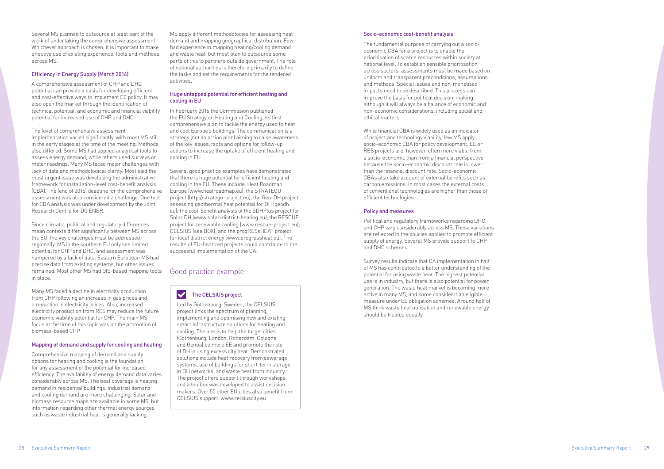Several MS planned to outsource at least part of the work of undertaking the comprehensive assessment. Whichever approach is chosen, it is important to make effective use of existing experience, tools and methods across MS.

#### Efficiency in Energy Supply (March 2014)

A comprehensive assessment of CHP and DHC potential can provide a basis for developing efficient and cost-effective ways to implement EE policy. It may also open the market through the identification of technical potential, and economic and financial viability potential for increased use of CHP and DHC.

The level of comprehensive assessment implementation varied significantly, with most MS still in the early stages at the time of the meeting. Methods also differed. Some MS had applied analytical tools to assess energy demand, while others used surveys or meter readings. Many MS faced major challenges with lack of data and methodological clarity. Most said the most urgent issue was developing the administrative framework for installation-level cost-benefit analysis (CBA). The (end of 2015) deadline for the comprehensive assessment was also considered a challenge. One tool for CBA analysis was under development by the Joint Research Centre for DG ENER.

Since climatic, political and regulatory differences mean contexts differ significantly between MS across the EU, the key challenges must be addressed regionally. MS in the southern EU only see limited potential for CHP and DHC, and assessment was hampered by a lack of data. Eastern European MS had precise data from existing systems, but other issues remained. Most other MS had GIS-based mapping tools in place.

Many MS faced a decline in electricity production from CHP following an increase in gas prices and a reduction in electricity prices. Also, increased electricity production from RES may reduce the future economic viability potential for CHP. The main MS focus at the time of this topic was on the promotion of biomass-based CHP.

#### Mapping of demand and supply for cooling and heating

Comprehensive mapping of demand and supply options for heating and cooling is the foundation for any assessment of the potential for increased efficiency. The availability of energy demand data varies considerably across MS. The best coverage is heating demand in residential buildings. Industrial demand and cooling demand are more challenging. Solar and biomass resource maps are available in some MS, but information regarding other thermal energy sources such as waste industrial heat is generally lacking.

MS apply different methodologies for assessing heat demand and mapping geographical distribution. Few had experience in mapping heating/cooling demand and waste heat, but most plan to outsource some parts of this to partners outside government. The role of national authorities is therefore primarily to define the tasks and set the requirements for the tendered activities.

#### $\blacktriangledown$ The CELSIUS project

#### Huge untapped potential for efficient heating and cooling in EU

In February 2016 the Commission published the EU Strategy on Heating and Cooling, its first comprehensive plan to tackle the energy used to heat and cool Europe's buildings. The communication is a strategy (not an action plan) aiming to raise awareness of the key issues, facts and options for follow-up actions to increase the uptake of efficient heating and cooling in EU.

Several good practice examples have demonstrated that there is huge potential for efficient heating and cooling in the EU. These include: Heat Roadmap Europe [\(www.heatroadmap.eu\)](http://www.heatroadmap.eu); the STRATEGO project (http://stratego-project.eu); the Geo-DH project assessing geothermal heat potential for DH (geodh. eu); the cost-benefit analysis of the SDHPlus project for Solar DH (www.solar-district-heating.eu); the RESCUE project for renewable cooling ([www.rescue-project.eu\)](http://www.rescue-project.eu); CELSIUS (see BOX); and the progRESsHEAT project for local district energy (www.progressheat.eu). The results of EU-financed projects could contribute to the successful implementation of the CA.

#### Socio-economic cost-benefit analysis

The fundamental purpose of carrying out a socioeconomic CBA for a project is to enable the prioritisation of scarce resources within society at national level. To establish sensible prioritisation across sectors, assessments must be made based on uniform and transparent preconditions, assumptions and methods. Special issues and non-monetised impacts need to be described. This process can improve the basis for political decision-making, although it will always be a balance of economic and non-economic considerations, including social and ethical matters.

While financial CBA is widely used as an indicator of project and technology viability, few MS apply socio-economic CBA for policy development. EE or RES projects are, however, often more viable from a socio-economic than from a financial perspective, because the socio-economic discount rate is lower than the financial discount rate. Socio-economic CBAs also take account of external benefits such as carbon emissions. In most cases the external costs of conventional technologies are higher than those of efficient technologies.

#### Policy and measures

Political and regulatory frameworks regarding DHC and CHP vary considerably across MS. These variations are reflected in the policies applied to promote efficient supply of energy. Several MS provide support to CHP and DHC schemes.

Survey results indicate that CA implementation in half of MS has contributed to a better understanding of the potential for using waste heat. The highest potential use is in industry, but there is also potential for power generation. The waste heat market is becoming more active in many MS, and some consider it an eligible measure under EE obligation schemes. Around half of MS think waste heat utilisation and renewable energy should be treated equally.

#### Good practice example

Led by Gothenburg, Sweden, the CELSIUS project links the spectrum of planning, implementing and optimising new and existing smart infrastructure solutions for heating and cooling. The aim is to help the target cities (Gothenburg, London, Rotterdam, Cologne and Genoa) be more EE and promote the role of DH in using excess city heat. Demonstrated solutions include heat recovery from sewerage systems, use of buildings for short-term storage in DH networks, and waste heat from industry. The project offers support through workshops, and a toolbox was developed to assist decision makers. Over 50 other EU cities also benefit from CELSIUS support: www.celsiuscity.eu.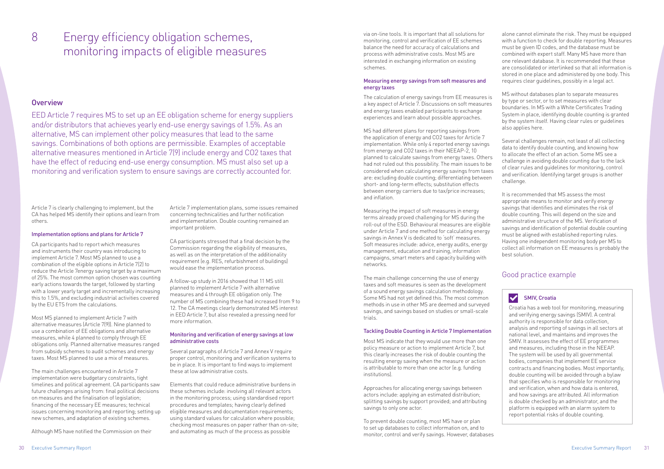### 8 **Energy efficiency obligation schemes**, wia on-line tools. It is important that all solutions for monitoring impacts of eligible measures

#### **Overview**

monitoring, control and verification of EE schemes balance the need for accuracy of calculations and process with administrative costs. Most MS are interested in exchanging information on existing schemes.

#### Measuring energy savings from soft measures and energy taxes

The calculation of energy savings from EE measures is a key aspect of Article 7. Discussions on soft measures and energy taxes enabled participants to exchange experiences and learn about possible approaches.

MS had different plans for reporting savings from the application of energy and CO2 taxes for Article 7 implementation. While only 4 reported energy savings from energy and CO2 taxes in their NEEAP-2, 10 planned to calculate savings from energy taxes. Others had not ruled out this possibility. The main issues to be considered when calculating energy savings from taxes are: excluding double counting; differentiating between short- and long-term effects; substitution effects between energy carriers due to tax/price increases; and inflation.

Measuring the impact of soft measures in energy terms already proved challenging for MS during the roll-out of the ESD. Behavioural measures are eligible under Article 7 and one method for calculating energy savings in Annex V is dedicated to 'soft' measures. Soft measures include: advice, energy audits, energy management, education and training, information campaigns, smart meters and capacity building with networks.

The main challenge concerning the use of energy taxes and soft measures is seen as the development of a sound energy savings calculation methodology. Some MS had not yet defined this. The most common methods in use in other MS are deemed and surveyed savings, and savings based on studies or small-scale trials.

#### Tackling Double Counting in Article 7 Implementation

Most MS indicate that they would use more than one policy measure or action to implement Article 7, but this clearly increases the risk of double counting the resulting energy saving when the measure or action is attributable to more than one actor (e.g. funding institutions).

Approaches for allocating energy savings between actors include: applying an estimated distribution; splitting savings by support provided; and attributing savings to only one actor.

To prevent double counting, most MS have or plan to set up databases to collect information on, and to monitor, control and verify savings. However, databases

alone cannot eliminate the risk. They must be equipped with a function to check for double reporting. Measures must be given ID codes, and the database must be combined with expert staff. Many MS have more than one relevant database. It is recommended that these are consolidated or interlinked so that all information is stored in one place and administered by one body. This requires clear guidelines, possibly in a legal act.

MS without databases plan to separate measures by type or sector, or to set measures with clear boundaries. In MS with a White Certificates Trading System in place, identifying double counting is granted by the system itself. Having clear rules or guidelines also applies here.

Several challenges remain, not least of all collecting data to identify double counting, and knowing how to allocate the effect of an action. Some MS see a challenge in avoiding double counting due to the lack of clear rules and guidelines for monitoring, control and verification. Identifying target groups is another challenge.

It is recommended that MS assess the most appropriate means to monitor and verify energy savings that identifies and eliminates the risk of double counting. This will depend on the size and administrative structure of the MS. Verification of savings and identification of potential double counting must be aligned with established reporting rules. Having one independent monitoring body per MS to collect all information on EE measures is probably the best solution.

EED Article 7 requires MS to set up an EE obligation scheme for energy suppliers and/or distributors that achieves yearly end-use energy savings of 1.5%. As an alternative, MS can implement other policy measures that lead to the same savings. Combinations of both options are permissible. Examples of acceptable alternative measures mentioned in Article 7(9) include energy and CO2 taxes that have the effect of reducing end-use energy consumption. MS must also set up a monitoring and verification system to ensure savings are correctly accounted for.

Article 7 is clearly challenging to implement, but the CA has helped MS identify their options and learn from others.

#### Implementation options and plans for Article 7

CA participants had to report which measures and instruments their country was introducing to implement Article 7. Most MS planned to use a combination of the eligible options in Article 7(2) to reduce the Article 7energy saving target by a maximum of 25%. The most common option chosen was counting early actions towards the target, followed by starting with a lower yearly target and incrementally increasing this to 1.5%, and excluding industrial activities covered by the EU ETS from the calculations.

Most MS planned to implement Article 7 with alternative measures (Article 7(9)). Nine planned to use a combination of EE obligations and alternative measures, while 4 planned to comply through EE obligations only. Planned alternative measures ranged from subsidy schemes to audit schemes and energy taxes. Most MS planned to use a mix of measures.

The main challenges encountered in Article 7 implementation were budgetary constraints, tight timelines and political agreement. CA participants saw future challenges arising from: final political decisions on measures and the finalisation of legislation; financing of the necessary EE measures; technical issues concerning monitoring and reporting; setting up new schemes, and adaptation of existing schemes.

Although MS have notified the Commission on their

Article 7 implementation plans, some issues remained concerning technicalities and further notification and implementation. Double counting remained an important problem.

CA participants stressed that a final decision by the Commission regarding the eligibility of measures, as well as on the interpretation of the additionality requirement (e.g. RES, refurbishment of buildings) would ease the implementation process.

A follow-up study in 2016 showed that 11 MS still planned to implement Article 7 with alternative measures and 4 through EE obligation only. The number of MS combining these had increased from 9 to 12. The CA meetings clearly demonstrated MS interest in EED Article 7, but also revealed a pressing need for more information.

#### Monitoring and verification of energy savings at low administrative costs

Several paragraphs of Article 7 and Annex V require proper control, monitoring and verification systems to be in place. It is important to find ways to implement these at low administrative costs.

Elements that could reduce administrative burdens in these schemes include: involving all relevant actors in the monitoring process; using standardised report procedures and templates; having clearly defined eligible measures and documentation requirements; using standard values for calculation where possible; checking most measures on paper rather than on-site; and automating as much of the process as possible

#### Good practice example

#### SMIV, Croatia

 $\vert\bm{\vee}\vert$ 

Croatia has a web tool for monitoring, measuring and verifying energy savings (SMIV). A central authority is responsible for data collection, analysis and reporting of savings in all sectors at national level, and maintains and improves the SMIV. It assesses the effect of EE programmes and measures, including those in the NEEAP. The system will be used by all governmental bodies, companies that implement EE service contracts and financing bodies. Most importantly, double counting will be avoided through a bylaw that specifies who is responsible for monitoring and verification, when and how data is entered, and how savings are attributed. All information is double checked by an administrator, and the platform is equipped with an alarm system to report potential risks of double counting.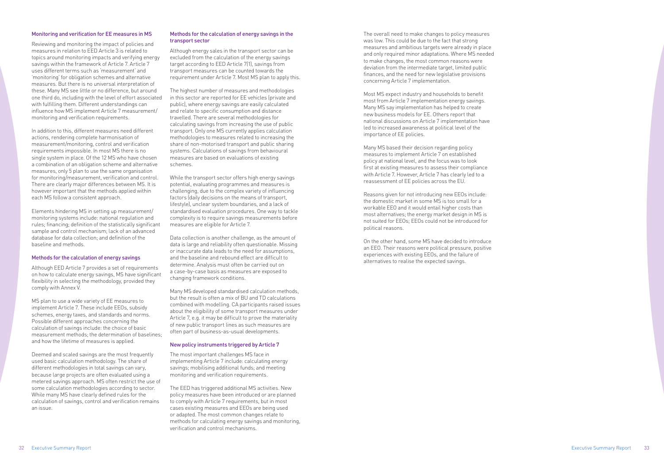#### Monitoring and verification for EE measures in MS

Reviewing and monitoring the impact of policies and measures in relation to EED Article 3 is related to topics around monitoring impacts and verifying energy savings within the framework of Article 7. Article 7 uses different terms such as 'measurement' and 'monitoring' for obligation schemes and alternative measures. But there is no universal interpretation of these. Many MS see little or no difference, but around one third do, including with the level of effort associated with fulfilling them. Different understandings can influence how MS implement Article 7 measurement/ monitoring and verification requirements.

In addition to this, different measures need different actions, rendering complete harmonisation of measurement/monitoring, control and verification requirements impossible. In most MS there is no single system in place. Of the 12 MS who have chosen a combination of an obligation scheme and alternative measures, only 5 plan to use the same organisation for monitoring/measurement, verification and control. There are clearly major differences between MS. It is however important that the methods applied within each MS follow a consistent approach.

Elements hindering MS in setting up measurement/ monitoring systems include: national regulation and rules; financing; definition of the statistically significant sample and control mechanism; lack of an advanced database for data collection; and definition of the baseline and methods.

#### Methods for the calculation of energy savings

Although EED Article 7 provides a set of requirements on how to calculate energy savings, MS have significant flexibility in selecting the methodology, provided they comply with Annex V.

MS plan to use a wide variety of EE measures to implement Article 7. These include EEOs, subsidy schemes, energy taxes, and standards and norms. Possible different approaches concerning the calculation of savings include: the choice of basic measurement methods; the determination of baselines; and how the lifetime of measures is applied.

Deemed and scaled savings are the most frequently used basic calculation methodology. The share of different methodologies in total savings can vary, because large projects are often evaluated using a metered savings approach. MS often restrict the use of some calculation methodologies according to sector. While many MS have clearly defined rules for the calculation of savings, control and verification remains an issue.

#### Methods for the calculation of energy savings in the transport sector

Although energy sales in the transport sector can be excluded from the calculation of the energy savings target according to EED Article 7(1), savings from transport measures can be counted towards the requirement under Article 7. Most MS plan to apply this.

The highest number of measures and methodologies in this sector are reported for EE vehicles (private and public), where energy savings are easily calculated and relate to specific consumption and distance travelled. There are several methodologies for calculating savings from increasing the use of public transport. Only one MS currently applies calculation methodologies to measures related to increasing the share of non-motorised transport and public sharing systems. Calculations of savings from behavioural measures are based on evaluations of existing schemes.

While the transport sector offers high energy savings potential, evaluating programmes and measures is challenging, due to the complex variety of influencing factors (daily decisions on the means of transport, lifestyle), unclear system boundaries, and a lack of standardised evaluation procedures. One way to tackle complexity is to require savings measurements before measures are eligible for Article 7.

Data collection is another challenge, as the amount of data is large and reliability often questionable. Missing or inaccurate data leads to the need for assumptions, and the baseline and rebound effect are difficult to determine. Analysis must often be carried out on a case-by-case basis as measures are exposed to changing framework conditions.

Many MS developed standardised calculation methods, but the result is often a mix of BU and TD calculations combined with modelling. CA participants raised issues about the eligibility of some transport measures under Article 7, e.g. it may be difficult to prove the materiality of new public transport lines as such measures are often part of business-as-usual developments.

#### New policy instruments triggered by Article 7

The most important challenges MS face in implementing Article 7 include: calculating energy savings; mobilising additional funds; and meeting monitoring and verification requirements.

The EED has triggered additional MS activities. New policy measures have been introduced or are planned to comply with Article 7 requirements, but in most cases existing measures and EEOs are being used or adapted. The most common changes relate to methods for calculating energy savings and monitoring, verification and control mechanisms.

The overall need to make changes to policy measures was low. This could be due to the fact that strong measures and ambitious targets were already in place and only required minor adaptations. Where MS needed to make changes, the most common reasons were deviation from the intermediate target, limited public finances, and the need for new legislative provisions concerning Article 7 implementation.

Most MS expect industry and households to benefit most from Article 7 implementation energy savings. Many MS say implementation has helped to create new business models for EE. Others report that national discussions on Article 7 implementation have led to increased awareness at political level of the importance of EE policies.

Many MS based their decision regarding policy measures to implement Article 7 on established policy at national level, and the focus was to look first at existing measures to assess their compliance with Article 7. However, Article 7 has clearly led to a reassessment of EE policies across the EU.

Reasons given for not introducing new EEOs include: the domestic market in some MS is too small for a workable EEO and it would entail higher costs than most alternatives; the energy market design in MS is not suited for EEOs; EEOs could not be introduced for political reasons.

On the other hand, some MS have decided to introduce an EEO. Their reasons were political pressure, positive experiences with existing EEOs, and the failure of alternatives to realise the expected savings.